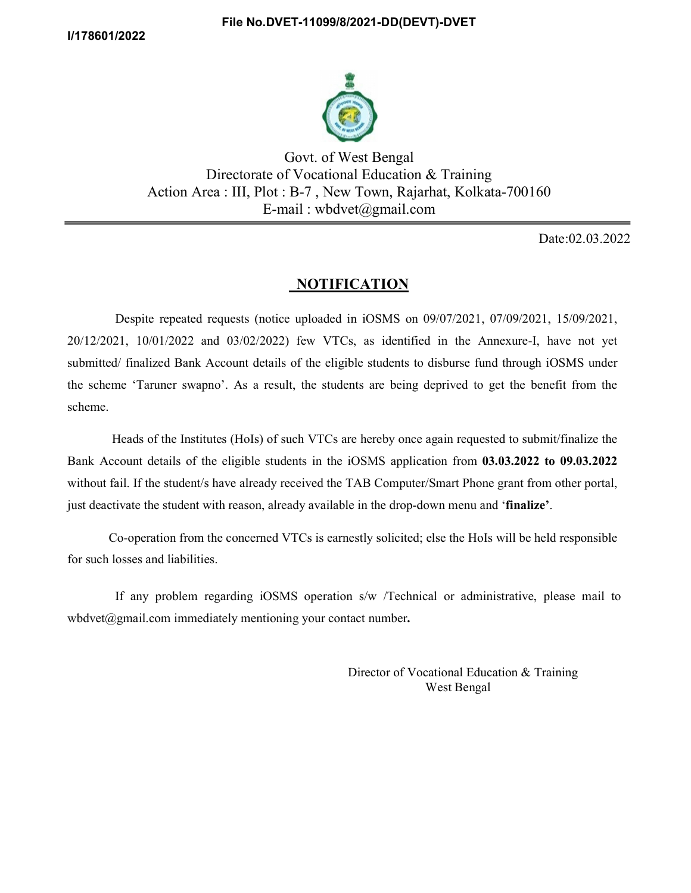

 Govt. of West Bengal Directorate of Vocational Education & Training Action Area : III, Plot : B-7 , New Town, Rajarhat, Kolkata-700160 E-mail : wbdvet@gmail.com

Date:02.03.2022

## **NOTIFICATION**

 Despite repeated requests (notice uploaded in iOSMS on 09/07/2021, 07/09/2021, 15/09/2021, 20/12/2021, 10/01/2022 and 03/02/2022) few VTCs, as identified in the Annexure-I, have not yet submitted/ finalized Bank Account details of the eligible students to disburse fund through iOSMS under the scheme 'Taruner swapno'. As a result, the students are being deprived to get the benefit from the scheme.

 Heads of the Institutes (HoIs) of such VTCs are hereby once again requested to submit/finalize the Bank Account details of the eligible students in the iOSMS application from 03.03.2022 to 09.03.2022 without fail. If the student/s have already received the TAB Computer/Smart Phone grant from other portal, just deactivate the student with reason, already available in the drop-down menu and 'finalize'.

 Co-operation from the concerned VTCs is earnestly solicited; else the HoIs will be held responsible for such losses and liabilities.

 If any problem regarding iOSMS operation s/w /Technical or administrative, please mail to wbdvet@gmail.com immediately mentioning your contact number.

> Director of Vocational Education & Training West Bengal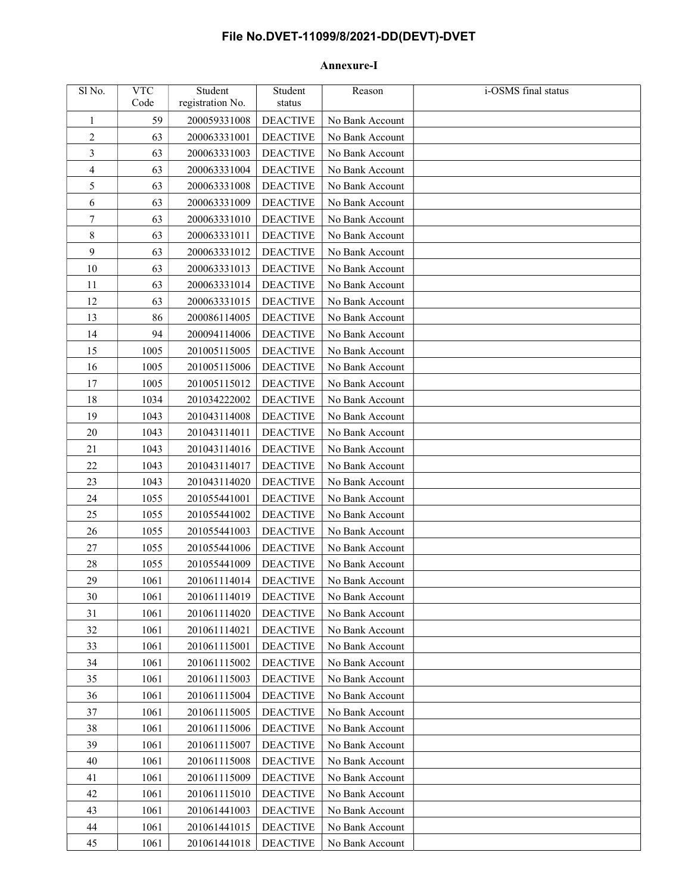## File No.DVET-11099/8/2021-DD(DEVT)-DVET

## Annexure-I

| Sl No.                  | <b>VTC</b><br>Code | Student<br>registration No. | Student<br>status | Reason          | i-OSMS final status |
|-------------------------|--------------------|-----------------------------|-------------------|-----------------|---------------------|
| 1                       | 59                 | 200059331008                | <b>DEACTIVE</b>   | No Bank Account |                     |
| $\overline{\mathbf{c}}$ | 63                 | 200063331001                | <b>DEACTIVE</b>   | No Bank Account |                     |
| 3                       | 63                 | 200063331003                | <b>DEACTIVE</b>   | No Bank Account |                     |
| 4                       | 63                 | 200063331004                | <b>DEACTIVE</b>   | No Bank Account |                     |
| 5                       | 63                 | 200063331008                | <b>DEACTIVE</b>   | No Bank Account |                     |
| 6                       | 63                 | 200063331009                | <b>DEACTIVE</b>   | No Bank Account |                     |
| 7                       | 63                 | 200063331010                | <b>DEACTIVE</b>   | No Bank Account |                     |
| 8                       | 63                 | 200063331011                | <b>DEACTIVE</b>   | No Bank Account |                     |
| 9                       | 63                 | 200063331012                | <b>DEACTIVE</b>   | No Bank Account |                     |
| 10                      | 63                 | 200063331013                | <b>DEACTIVE</b>   | No Bank Account |                     |
| 11                      | 63                 | 200063331014                | <b>DEACTIVE</b>   | No Bank Account |                     |
| 12                      | 63                 | 200063331015                | <b>DEACTIVE</b>   | No Bank Account |                     |
| 13                      | 86                 | 200086114005                | <b>DEACTIVE</b>   | No Bank Account |                     |
| 14                      | 94                 | 200094114006                | <b>DEACTIVE</b>   | No Bank Account |                     |
| 15                      | 1005               | 201005115005                | <b>DEACTIVE</b>   | No Bank Account |                     |
| 16                      | 1005               | 201005115006                | <b>DEACTIVE</b>   | No Bank Account |                     |
| 17                      | 1005               | 201005115012                | <b>DEACTIVE</b>   | No Bank Account |                     |
| 18                      | 1034               | 201034222002                | <b>DEACTIVE</b>   | No Bank Account |                     |
| 19                      | 1043               | 201043114008                | <b>DEACTIVE</b>   | No Bank Account |                     |
| 20                      | 1043               | 201043114011                | <b>DEACTIVE</b>   | No Bank Account |                     |
| 21                      | 1043               | 201043114016                | <b>DEACTIVE</b>   | No Bank Account |                     |
| 22                      | 1043               | 201043114017                | <b>DEACTIVE</b>   | No Bank Account |                     |
| 23                      | 1043               | 201043114020                | <b>DEACTIVE</b>   | No Bank Account |                     |
| 24                      | 1055               | 201055441001                | <b>DEACTIVE</b>   | No Bank Account |                     |
| 25                      | 1055               | 201055441002                | <b>DEACTIVE</b>   | No Bank Account |                     |
| 26                      | 1055               | 201055441003                | <b>DEACTIVE</b>   | No Bank Account |                     |
| 27                      | 1055               | 201055441006                | <b>DEACTIVE</b>   | No Bank Account |                     |
| 28                      | 1055               | 201055441009                | <b>DEACTIVE</b>   | No Bank Account |                     |
| 29                      | 1061               | 201061114014                | <b>DEACTIVE</b>   | No Bank Account |                     |
| 30                      | 1061               | 201061114019                | <b>DEACTIVE</b>   | No Bank Account |                     |
| 31                      | 1061               | 201061114020                | <b>DEACTIVE</b>   | No Bank Account |                     |
| 32                      | 1061               | 201061114021                | <b>DEACTIVE</b>   | No Bank Account |                     |
| 33                      | 1061               | 201061115001                | <b>DEACTIVE</b>   | No Bank Account |                     |
| 34                      | 1061               | 201061115002                | <b>DEACTIVE</b>   | No Bank Account |                     |
| 35                      | 1061               | 201061115003                | <b>DEACTIVE</b>   | No Bank Account |                     |
| 36                      | 1061               | 201061115004                | <b>DEACTIVE</b>   | No Bank Account |                     |
| 37                      | 1061               | 201061115005                | <b>DEACTIVE</b>   | No Bank Account |                     |
| 38                      | 1061               | 201061115006                | <b>DEACTIVE</b>   | No Bank Account |                     |
| 39                      | 1061               | 201061115007                | <b>DEACTIVE</b>   | No Bank Account |                     |
| 40                      | 1061               | 201061115008                | <b>DEACTIVE</b>   | No Bank Account |                     |
| 41                      | 1061               | 201061115009                | <b>DEACTIVE</b>   | No Bank Account |                     |
| 42                      | 1061               | 201061115010                | <b>DEACTIVE</b>   | No Bank Account |                     |
| 43                      | 1061               | 201061441003                | <b>DEACTIVE</b>   | No Bank Account |                     |
| 44                      | 1061               | 201061441015                | <b>DEACTIVE</b>   | No Bank Account |                     |
| 45                      | 1061               | 201061441018                | <b>DEACTIVE</b>   | No Bank Account |                     |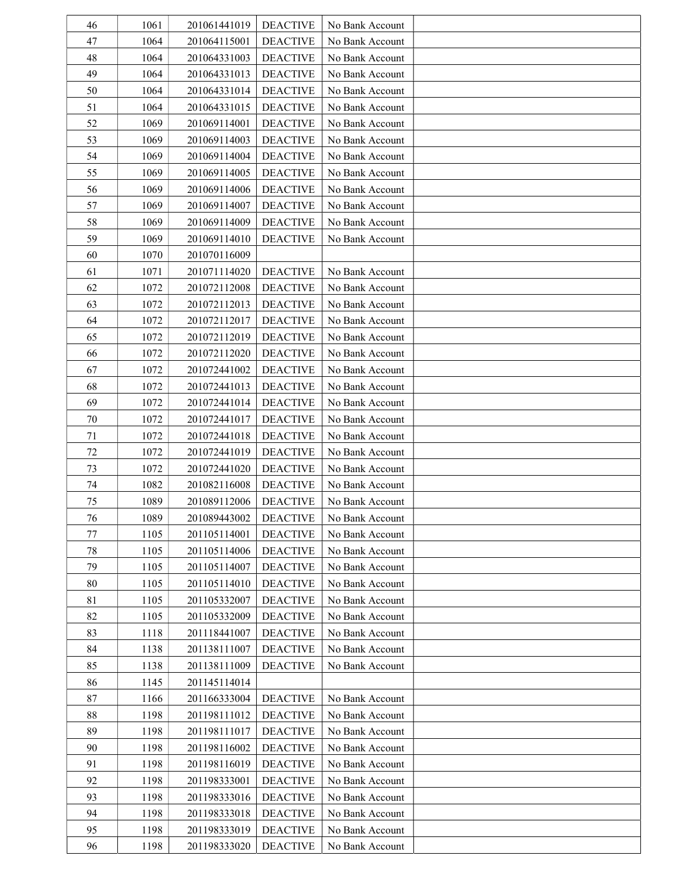| 46     | 1061 | 201061441019 | <b>DEACTIVE</b> | No Bank Account |  |
|--------|------|--------------|-----------------|-----------------|--|
| 47     | 1064 | 201064115001 | <b>DEACTIVE</b> | No Bank Account |  |
| 48     | 1064 | 201064331003 | <b>DEACTIVE</b> | No Bank Account |  |
| 49     | 1064 | 201064331013 | <b>DEACTIVE</b> | No Bank Account |  |
| 50     | 1064 | 201064331014 | <b>DEACTIVE</b> | No Bank Account |  |
| 51     | 1064 | 201064331015 | <b>DEACTIVE</b> | No Bank Account |  |
| 52     | 1069 | 201069114001 | <b>DEACTIVE</b> | No Bank Account |  |
| 53     | 1069 | 201069114003 | <b>DEACTIVE</b> | No Bank Account |  |
| 54     | 1069 | 201069114004 | <b>DEACTIVE</b> | No Bank Account |  |
| 55     | 1069 | 201069114005 | <b>DEACTIVE</b> | No Bank Account |  |
| 56     | 1069 | 201069114006 | <b>DEACTIVE</b> | No Bank Account |  |
| 57     | 1069 | 201069114007 | <b>DEACTIVE</b> | No Bank Account |  |
| 58     | 1069 | 201069114009 | <b>DEACTIVE</b> | No Bank Account |  |
| 59     | 1069 | 201069114010 | <b>DEACTIVE</b> | No Bank Account |  |
| 60     | 1070 | 201070116009 |                 |                 |  |
| 61     | 1071 | 201071114020 | <b>DEACTIVE</b> | No Bank Account |  |
| 62     | 1072 | 201072112008 | <b>DEACTIVE</b> | No Bank Account |  |
| 63     | 1072 | 201072112013 | <b>DEACTIVE</b> | No Bank Account |  |
| 64     | 1072 | 201072112017 | <b>DEACTIVE</b> | No Bank Account |  |
| 65     | 1072 | 201072112019 | <b>DEACTIVE</b> | No Bank Account |  |
| 66     | 1072 | 201072112020 | <b>DEACTIVE</b> | No Bank Account |  |
| 67     | 1072 | 201072441002 | <b>DEACTIVE</b> | No Bank Account |  |
| 68     | 1072 | 201072441013 | <b>DEACTIVE</b> | No Bank Account |  |
| 69     | 1072 | 201072441014 | <b>DEACTIVE</b> | No Bank Account |  |
| $70\,$ | 1072 | 201072441017 | <b>DEACTIVE</b> | No Bank Account |  |
| 71     | 1072 | 201072441018 | <b>DEACTIVE</b> | No Bank Account |  |
| 72     | 1072 | 201072441019 | <b>DEACTIVE</b> | No Bank Account |  |
| 73     | 1072 | 201072441020 | <b>DEACTIVE</b> | No Bank Account |  |
| 74     | 1082 | 201082116008 | <b>DEACTIVE</b> | No Bank Account |  |
| 75     | 1089 | 201089112006 | <b>DEACTIVE</b> | No Bank Account |  |
| 76     | 1089 | 201089443002 | <b>DEACTIVE</b> | No Bank Account |  |
| 77     | 1105 | 201105114001 | <b>DEACTIVE</b> | No Bank Account |  |
| 78     | 1105 | 201105114006 | <b>DEACTIVE</b> | No Bank Account |  |
| 79     | 1105 | 201105114007 | <b>DEACTIVE</b> | No Bank Account |  |
| 80     | 1105 | 201105114010 | <b>DEACTIVE</b> | No Bank Account |  |
| 81     | 1105 | 201105332007 | <b>DEACTIVE</b> | No Bank Account |  |
| 82     | 1105 | 201105332009 | <b>DEACTIVE</b> | No Bank Account |  |
| 83     | 1118 | 201118441007 | <b>DEACTIVE</b> | No Bank Account |  |
| 84     | 1138 | 201138111007 | <b>DEACTIVE</b> | No Bank Account |  |
| 85     | 1138 | 201138111009 | <b>DEACTIVE</b> | No Bank Account |  |
| 86     | 1145 | 201145114014 |                 |                 |  |
| 87     | 1166 | 201166333004 | <b>DEACTIVE</b> | No Bank Account |  |
| 88     | 1198 | 201198111012 | <b>DEACTIVE</b> | No Bank Account |  |
| 89     | 1198 | 201198111017 | <b>DEACTIVE</b> | No Bank Account |  |
| 90     | 1198 | 201198116002 | <b>DEACTIVE</b> | No Bank Account |  |
| 91     | 1198 | 201198116019 | <b>DEACTIVE</b> | No Bank Account |  |
| 92     | 1198 | 201198333001 | <b>DEACTIVE</b> | No Bank Account |  |
| 93     | 1198 | 201198333016 | <b>DEACTIVE</b> | No Bank Account |  |
| 94     | 1198 | 201198333018 | <b>DEACTIVE</b> | No Bank Account |  |
| 95     | 1198 | 201198333019 | <b>DEACTIVE</b> | No Bank Account |  |
| 96     | 1198 | 201198333020 | <b>DEACTIVE</b> | No Bank Account |  |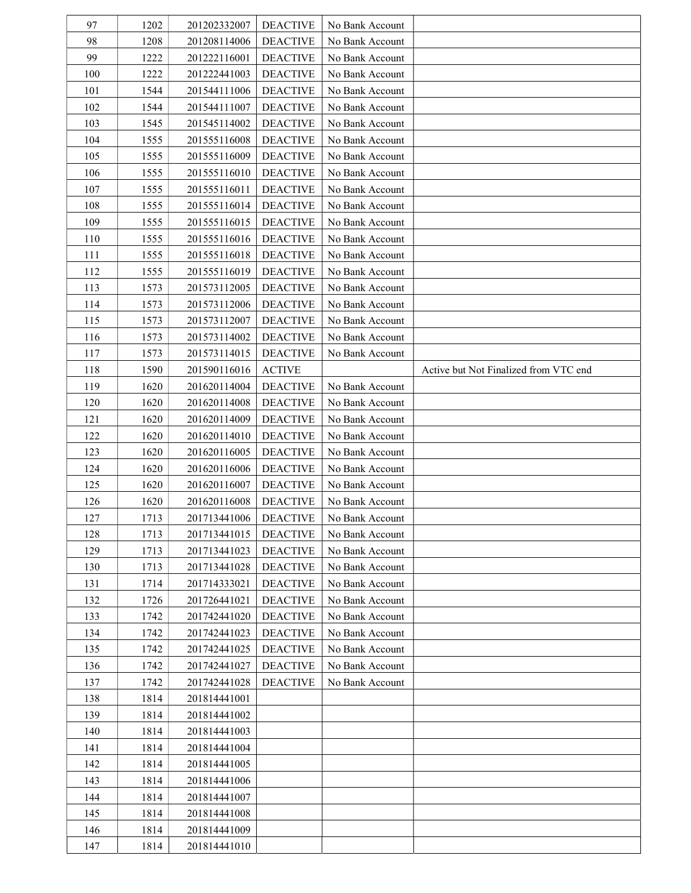| 97         | 1202         | 201202332007 | <b>DEACTIVE</b> | No Bank Account                    |                                       |
|------------|--------------|--------------|-----------------|------------------------------------|---------------------------------------|
| 98         | 1208         | 201208114006 | <b>DEACTIVE</b> | No Bank Account                    |                                       |
| 99         | 1222         | 201222116001 | <b>DEACTIVE</b> | No Bank Account                    |                                       |
| 100        | 1222         | 201222441003 | <b>DEACTIVE</b> | No Bank Account                    |                                       |
| 101        | 1544         | 201544111006 | <b>DEACTIVE</b> | No Bank Account                    |                                       |
| 102        | 1544         | 201544111007 | <b>DEACTIVE</b> | No Bank Account                    |                                       |
| 103        | 1545         | 201545114002 | <b>DEACTIVE</b> | No Bank Account                    |                                       |
| 104        | 1555         | 201555116008 | <b>DEACTIVE</b> | No Bank Account                    |                                       |
| 105        | 1555         | 201555116009 | <b>DEACTIVE</b> | No Bank Account                    |                                       |
| 106        | 1555         | 201555116010 | <b>DEACTIVE</b> | No Bank Account                    |                                       |
| 107        | 1555         | 201555116011 | <b>DEACTIVE</b> | No Bank Account                    |                                       |
| 108        | 1555         | 201555116014 | <b>DEACTIVE</b> | No Bank Account                    |                                       |
| 109        | 1555         | 201555116015 | <b>DEACTIVE</b> | No Bank Account                    |                                       |
| 110        | 1555         | 201555116016 | <b>DEACTIVE</b> | No Bank Account                    |                                       |
| 111        | 1555         | 201555116018 | <b>DEACTIVE</b> | No Bank Account                    |                                       |
| 112        | 1555         | 201555116019 | <b>DEACTIVE</b> | No Bank Account                    |                                       |
| 113        | 1573         | 201573112005 | <b>DEACTIVE</b> | No Bank Account                    |                                       |
| 114        | 1573         | 201573112006 | <b>DEACTIVE</b> | No Bank Account                    |                                       |
| 115        | 1573         | 201573112007 | <b>DEACTIVE</b> | No Bank Account                    |                                       |
| 116        | 1573         | 201573114002 | <b>DEACTIVE</b> | No Bank Account                    |                                       |
| 117        | 1573         | 201573114015 | <b>DEACTIVE</b> | No Bank Account                    |                                       |
| 118        | 1590         | 201590116016 | <b>ACTIVE</b>   |                                    | Active but Not Finalized from VTC end |
| 119        | 1620         | 201620114004 | <b>DEACTIVE</b> | No Bank Account                    |                                       |
| 120        | 1620         | 201620114008 | <b>DEACTIVE</b> | No Bank Account                    |                                       |
| 121        | 1620         | 201620114009 | <b>DEACTIVE</b> | No Bank Account                    |                                       |
| 122        | 1620         | 201620114010 | <b>DEACTIVE</b> | No Bank Account                    |                                       |
| 123        | 1620         | 201620116005 | <b>DEACTIVE</b> | No Bank Account                    |                                       |
| 124        | 1620         | 201620116006 | <b>DEACTIVE</b> |                                    |                                       |
| 125        | 1620         | 201620116007 | <b>DEACTIVE</b> | No Bank Account<br>No Bank Account |                                       |
| 126        | 1620         | 201620116008 | <b>DEACTIVE</b> | No Bank Account                    |                                       |
| 127        |              | 201713441006 | <b>DEACTIVE</b> |                                    |                                       |
| 128        | 1713<br>1713 | 201713441015 | <b>DEACTIVE</b> | No Bank Account<br>No Bank Account |                                       |
| 129        | 1713         | 201713441023 | <b>DEACTIVE</b> | No Bank Account                    |                                       |
| 130        |              | 201713441028 | <b>DEACTIVE</b> | No Bank Account                    |                                       |
|            | 1713         |              |                 |                                    |                                       |
| 131        | 1714         | 201714333021 | <b>DEACTIVE</b> | No Bank Account                    |                                       |
| 132        | 1726         | 201726441021 | <b>DEACTIVE</b> | No Bank Account                    |                                       |
| 133        | 1742         | 201742441020 | <b>DEACTIVE</b> | No Bank Account                    |                                       |
| 134        | 1742         | 201742441023 | <b>DEACTIVE</b> | No Bank Account                    |                                       |
| 135        | 1742         | 201742441025 | <b>DEACTIVE</b> | No Bank Account                    |                                       |
| 136        | 1742         | 201742441027 | <b>DEACTIVE</b> | No Bank Account                    |                                       |
| 137        | 1742         | 201742441028 | <b>DEACTIVE</b> | No Bank Account                    |                                       |
| 138        | 1814         | 201814441001 |                 |                                    |                                       |
| 139        | 1814         | 201814441002 |                 |                                    |                                       |
| 140        | 1814         | 201814441003 |                 |                                    |                                       |
| 141        | 1814         | 201814441004 |                 |                                    |                                       |
| 142        | 1814         | 201814441005 |                 |                                    |                                       |
| 143        | 1814         | 201814441006 |                 |                                    |                                       |
| 144        | 1814         | 201814441007 |                 |                                    |                                       |
| 145        | 1814         | 201814441008 |                 |                                    |                                       |
| 146<br>147 | 1814         | 201814441009 |                 |                                    |                                       |
|            | 1814         | 201814441010 |                 |                                    |                                       |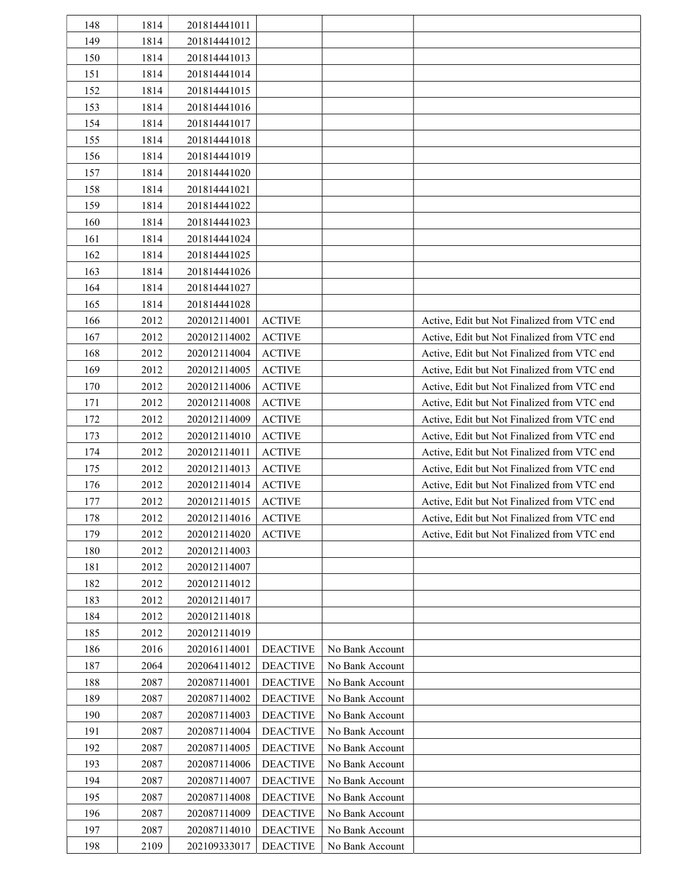| 148 | 1814 | 201814441011 |                 |                 |                                             |
|-----|------|--------------|-----------------|-----------------|---------------------------------------------|
| 149 | 1814 | 201814441012 |                 |                 |                                             |
| 150 | 1814 | 201814441013 |                 |                 |                                             |
| 151 | 1814 | 201814441014 |                 |                 |                                             |
| 152 | 1814 | 201814441015 |                 |                 |                                             |
| 153 | 1814 | 201814441016 |                 |                 |                                             |
| 154 | 1814 | 201814441017 |                 |                 |                                             |
| 155 | 1814 | 201814441018 |                 |                 |                                             |
| 156 | 1814 | 201814441019 |                 |                 |                                             |
| 157 | 1814 | 201814441020 |                 |                 |                                             |
| 158 | 1814 | 201814441021 |                 |                 |                                             |
| 159 | 1814 | 201814441022 |                 |                 |                                             |
| 160 | 1814 | 201814441023 |                 |                 |                                             |
| 161 | 1814 | 201814441024 |                 |                 |                                             |
| 162 | 1814 | 201814441025 |                 |                 |                                             |
| 163 | 1814 | 201814441026 |                 |                 |                                             |
| 164 | 1814 | 201814441027 |                 |                 |                                             |
| 165 | 1814 | 201814441028 |                 |                 |                                             |
| 166 | 2012 | 202012114001 | <b>ACTIVE</b>   |                 | Active, Edit but Not Finalized from VTC end |
| 167 | 2012 | 202012114002 | <b>ACTIVE</b>   |                 | Active, Edit but Not Finalized from VTC end |
| 168 | 2012 | 202012114004 | <b>ACTIVE</b>   |                 | Active, Edit but Not Finalized from VTC end |
| 169 | 2012 | 202012114005 | <b>ACTIVE</b>   |                 | Active, Edit but Not Finalized from VTC end |
| 170 | 2012 | 202012114006 | <b>ACTIVE</b>   |                 | Active, Edit but Not Finalized from VTC end |
| 171 | 2012 | 202012114008 | <b>ACTIVE</b>   |                 | Active, Edit but Not Finalized from VTC end |
| 172 | 2012 | 202012114009 | <b>ACTIVE</b>   |                 | Active, Edit but Not Finalized from VTC end |
| 173 | 2012 | 202012114010 | <b>ACTIVE</b>   |                 | Active, Edit but Not Finalized from VTC end |
| 174 | 2012 | 202012114011 | <b>ACTIVE</b>   |                 | Active, Edit but Not Finalized from VTC end |
| 175 | 2012 | 202012114013 | <b>ACTIVE</b>   |                 | Active, Edit but Not Finalized from VTC end |
| 176 | 2012 | 202012114014 | <b>ACTIVE</b>   |                 | Active, Edit but Not Finalized from VTC end |
| 177 | 2012 | 202012114015 | <b>ACTIVE</b>   |                 | Active, Edit but Not Finalized from VTC end |
| 178 | 2012 | 202012114016 | <b>ACTIVE</b>   |                 | Active, Edit but Not Finalized from VTC end |
| 179 | 2012 | 202012114020 | <b>ACTIVE</b>   |                 | Active, Edit but Not Finalized from VTC end |
| 180 | 2012 | 202012114003 |                 |                 |                                             |
| 181 | 2012 | 202012114007 |                 |                 |                                             |
| 182 | 2012 | 202012114012 |                 |                 |                                             |
| 183 | 2012 | 202012114017 |                 |                 |                                             |
| 184 | 2012 | 202012114018 |                 |                 |                                             |
| 185 | 2012 | 202012114019 |                 |                 |                                             |
| 186 | 2016 | 202016114001 | <b>DEACTIVE</b> | No Bank Account |                                             |
| 187 | 2064 | 202064114012 | <b>DEACTIVE</b> | No Bank Account |                                             |
| 188 | 2087 | 202087114001 | <b>DEACTIVE</b> | No Bank Account |                                             |
| 189 | 2087 | 202087114002 | <b>DEACTIVE</b> | No Bank Account |                                             |
| 190 | 2087 | 202087114003 | <b>DEACTIVE</b> | No Bank Account |                                             |
| 191 | 2087 | 202087114004 | <b>DEACTIVE</b> | No Bank Account |                                             |
| 192 | 2087 | 202087114005 | <b>DEACTIVE</b> | No Bank Account |                                             |
| 193 | 2087 | 202087114006 | <b>DEACTIVE</b> | No Bank Account |                                             |
| 194 | 2087 | 202087114007 | <b>DEACTIVE</b> | No Bank Account |                                             |
| 195 | 2087 | 202087114008 | <b>DEACTIVE</b> | No Bank Account |                                             |
| 196 | 2087 | 202087114009 | <b>DEACTIVE</b> | No Bank Account |                                             |
| 197 | 2087 | 202087114010 | <b>DEACTIVE</b> | No Bank Account |                                             |
| 198 | 2109 | 202109333017 | <b>DEACTIVE</b> | No Bank Account |                                             |
|     |      |              |                 |                 |                                             |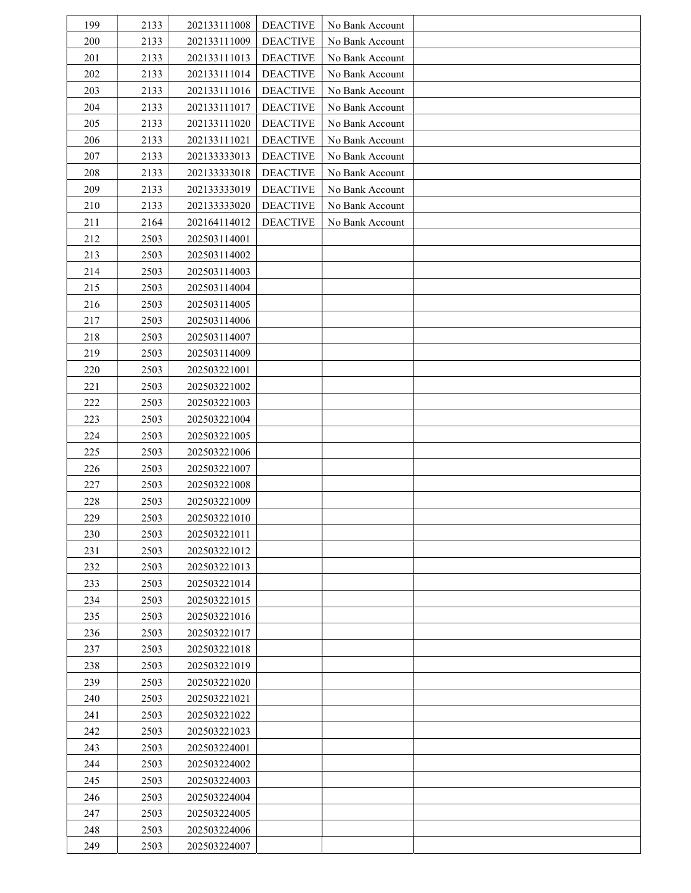| 199 | 2133 | 202133111008 | <b>DEACTIVE</b> | No Bank Account |  |
|-----|------|--------------|-----------------|-----------------|--|
| 200 | 2133 | 202133111009 | <b>DEACTIVE</b> | No Bank Account |  |
| 201 | 2133 | 202133111013 | <b>DEACTIVE</b> | No Bank Account |  |
| 202 | 2133 | 202133111014 | <b>DEACTIVE</b> | No Bank Account |  |
| 203 | 2133 | 202133111016 | <b>DEACTIVE</b> | No Bank Account |  |
| 204 | 2133 | 202133111017 | <b>DEACTIVE</b> | No Bank Account |  |
| 205 | 2133 | 202133111020 | <b>DEACTIVE</b> | No Bank Account |  |
| 206 | 2133 | 202133111021 | <b>DEACTIVE</b> | No Bank Account |  |
| 207 | 2133 | 202133333013 | <b>DEACTIVE</b> | No Bank Account |  |
| 208 | 2133 | 202133333018 | <b>DEACTIVE</b> | No Bank Account |  |
| 209 | 2133 | 202133333019 | <b>DEACTIVE</b> | No Bank Account |  |
| 210 | 2133 | 202133333020 | <b>DEACTIVE</b> | No Bank Account |  |
| 211 | 2164 | 202164114012 | <b>DEACTIVE</b> | No Bank Account |  |
| 212 | 2503 | 202503114001 |                 |                 |  |
| 213 | 2503 | 202503114002 |                 |                 |  |
| 214 | 2503 | 202503114003 |                 |                 |  |
| 215 | 2503 | 202503114004 |                 |                 |  |
| 216 | 2503 | 202503114005 |                 |                 |  |
| 217 | 2503 | 202503114006 |                 |                 |  |
| 218 | 2503 | 202503114007 |                 |                 |  |
| 219 | 2503 | 202503114009 |                 |                 |  |
| 220 | 2503 | 202503221001 |                 |                 |  |
|     |      |              |                 |                 |  |
| 221 | 2503 | 202503221002 |                 |                 |  |
| 222 | 2503 | 202503221003 |                 |                 |  |
| 223 | 2503 | 202503221004 |                 |                 |  |
| 224 | 2503 | 202503221005 |                 |                 |  |
| 225 | 2503 | 202503221006 |                 |                 |  |
| 226 | 2503 | 202503221007 |                 |                 |  |
| 227 | 2503 | 202503221008 |                 |                 |  |
| 228 | 2503 | 202503221009 |                 |                 |  |
| 229 | 2503 | 202503221010 |                 |                 |  |
| 230 | 2503 | 202503221011 |                 |                 |  |
| 231 | 2503 | 202503221012 |                 |                 |  |
| 232 | 2503 | 202503221013 |                 |                 |  |
| 233 | 2503 | 202503221014 |                 |                 |  |
| 234 | 2503 | 202503221015 |                 |                 |  |
| 235 | 2503 | 202503221016 |                 |                 |  |
| 236 | 2503 | 202503221017 |                 |                 |  |
| 237 | 2503 | 202503221018 |                 |                 |  |
| 238 | 2503 | 202503221019 |                 |                 |  |
| 239 | 2503 | 202503221020 |                 |                 |  |
| 240 | 2503 | 202503221021 |                 |                 |  |
| 241 | 2503 | 202503221022 |                 |                 |  |
| 242 | 2503 | 202503221023 |                 |                 |  |
| 243 | 2503 | 202503224001 |                 |                 |  |
| 244 | 2503 | 202503224002 |                 |                 |  |
| 245 | 2503 | 202503224003 |                 |                 |  |
| 246 | 2503 | 202503224004 |                 |                 |  |
| 247 | 2503 | 202503224005 |                 |                 |  |
| 248 | 2503 | 202503224006 |                 |                 |  |
| 249 | 2503 | 202503224007 |                 |                 |  |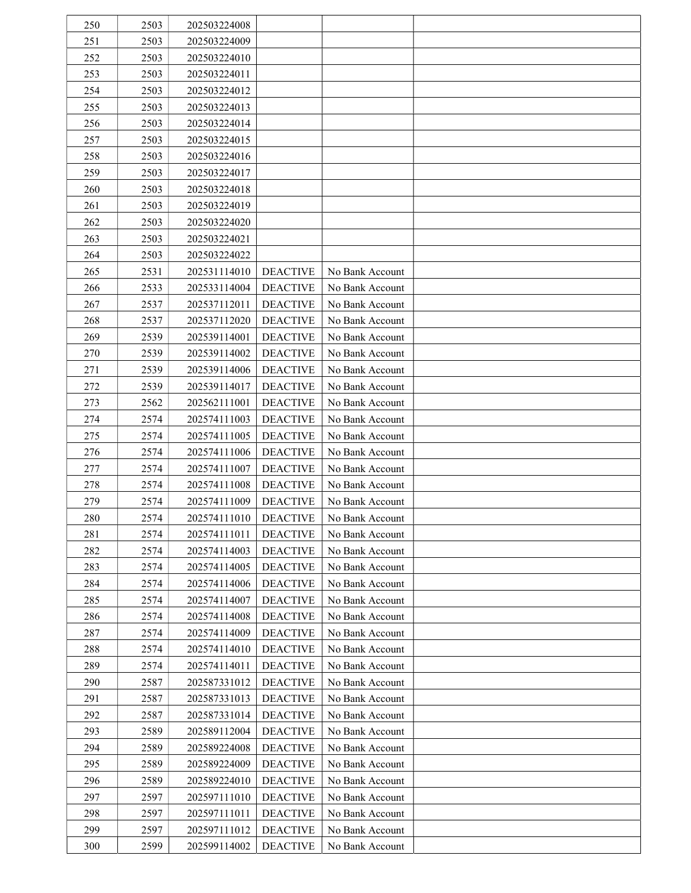| 250 | 2503 | 202503224008 |                 |                 |  |
|-----|------|--------------|-----------------|-----------------|--|
| 251 | 2503 | 202503224009 |                 |                 |  |
| 252 | 2503 | 202503224010 |                 |                 |  |
| 253 | 2503 | 202503224011 |                 |                 |  |
| 254 | 2503 | 202503224012 |                 |                 |  |
| 255 | 2503 | 202503224013 |                 |                 |  |
| 256 | 2503 | 202503224014 |                 |                 |  |
| 257 | 2503 | 202503224015 |                 |                 |  |
| 258 | 2503 | 202503224016 |                 |                 |  |
| 259 | 2503 | 202503224017 |                 |                 |  |
| 260 | 2503 | 202503224018 |                 |                 |  |
| 261 | 2503 | 202503224019 |                 |                 |  |
| 262 | 2503 | 202503224020 |                 |                 |  |
| 263 | 2503 | 202503224021 |                 |                 |  |
| 264 | 2503 | 202503224022 |                 |                 |  |
| 265 | 2531 | 202531114010 | <b>DEACTIVE</b> | No Bank Account |  |
| 266 | 2533 | 202533114004 | <b>DEACTIVE</b> | No Bank Account |  |
| 267 | 2537 | 202537112011 | <b>DEACTIVE</b> | No Bank Account |  |
| 268 | 2537 | 202537112020 | <b>DEACTIVE</b> | No Bank Account |  |
| 269 | 2539 | 202539114001 | <b>DEACTIVE</b> | No Bank Account |  |
| 270 | 2539 | 202539114002 | <b>DEACTIVE</b> | No Bank Account |  |
| 271 | 2539 | 202539114006 | <b>DEACTIVE</b> | No Bank Account |  |
| 272 | 2539 | 202539114017 | <b>DEACTIVE</b> | No Bank Account |  |
| 273 | 2562 | 202562111001 | <b>DEACTIVE</b> | No Bank Account |  |
| 274 | 2574 | 202574111003 | <b>DEACTIVE</b> | No Bank Account |  |
| 275 | 2574 | 202574111005 | <b>DEACTIVE</b> | No Bank Account |  |
| 276 | 2574 | 202574111006 | <b>DEACTIVE</b> | No Bank Account |  |
| 277 | 2574 | 202574111007 | <b>DEACTIVE</b> | No Bank Account |  |
| 278 | 2574 | 202574111008 | <b>DEACTIVE</b> | No Bank Account |  |
| 279 | 2574 | 202574111009 | <b>DEACTIVE</b> | No Bank Account |  |
| 280 | 2574 | 202574111010 | <b>DEACTIVE</b> | No Bank Account |  |
| 281 | 2574 | 202574111011 | <b>DEACTIVE</b> | No Bank Account |  |
| 282 | 2574 | 202574114003 | <b>DEACTIVE</b> | No Bank Account |  |
| 283 | 2574 | 202574114005 | <b>DEACTIVE</b> | No Bank Account |  |
| 284 | 2574 | 202574114006 | <b>DEACTIVE</b> | No Bank Account |  |
| 285 | 2574 | 202574114007 | <b>DEACTIVE</b> | No Bank Account |  |
| 286 | 2574 | 202574114008 | <b>DEACTIVE</b> | No Bank Account |  |
| 287 | 2574 | 202574114009 | <b>DEACTIVE</b> | No Bank Account |  |
| 288 | 2574 | 202574114010 | <b>DEACTIVE</b> | No Bank Account |  |
| 289 | 2574 | 202574114011 | <b>DEACTIVE</b> | No Bank Account |  |
| 290 | 2587 | 202587331012 | <b>DEACTIVE</b> | No Bank Account |  |
| 291 | 2587 | 202587331013 | <b>DEACTIVE</b> | No Bank Account |  |
| 292 | 2587 | 202587331014 | <b>DEACTIVE</b> | No Bank Account |  |
| 293 | 2589 | 202589112004 | <b>DEACTIVE</b> | No Bank Account |  |
| 294 | 2589 | 202589224008 | <b>DEACTIVE</b> | No Bank Account |  |
| 295 | 2589 | 202589224009 | <b>DEACTIVE</b> | No Bank Account |  |
| 296 | 2589 | 202589224010 | <b>DEACTIVE</b> | No Bank Account |  |
| 297 | 2597 | 202597111010 | <b>DEACTIVE</b> | No Bank Account |  |
| 298 | 2597 | 202597111011 | <b>DEACTIVE</b> | No Bank Account |  |
| 299 | 2597 | 202597111012 | <b>DEACTIVE</b> | No Bank Account |  |
| 300 | 2599 | 202599114002 | <b>DEACTIVE</b> | No Bank Account |  |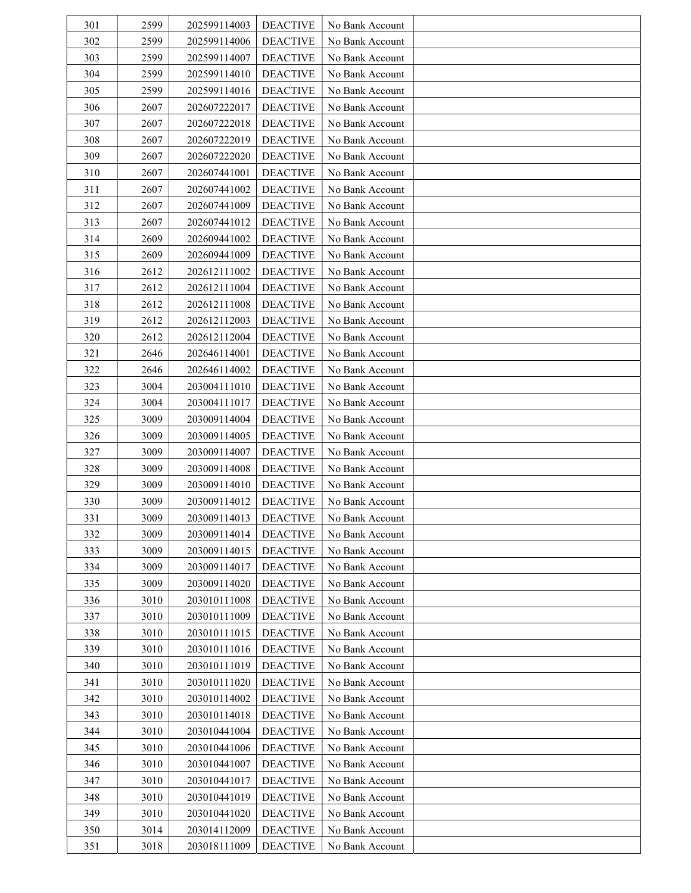| 301 | 2599 | 202599114003 | <b>DEACTIVE</b> | No Bank Account |  |
|-----|------|--------------|-----------------|-----------------|--|
| 302 | 2599 | 202599114006 | <b>DEACTIVE</b> | No Bank Account |  |
| 303 | 2599 | 202599114007 | <b>DEACTIVE</b> | No Bank Account |  |
| 304 | 2599 | 202599114010 | <b>DEACTIVE</b> | No Bank Account |  |
| 305 | 2599 | 202599114016 | <b>DEACTIVE</b> | No Bank Account |  |
| 306 | 2607 | 202607222017 | <b>DEACTIVE</b> | No Bank Account |  |
| 307 | 2607 | 202607222018 | <b>DEACTIVE</b> | No Bank Account |  |
| 308 | 2607 | 202607222019 | <b>DEACTIVE</b> | No Bank Account |  |
| 309 | 2607 | 202607222020 | <b>DEACTIVE</b> | No Bank Account |  |
| 310 | 2607 | 202607441001 | <b>DEACTIVE</b> | No Bank Account |  |
| 311 | 2607 | 202607441002 | <b>DEACTIVE</b> | No Bank Account |  |
| 312 | 2607 | 202607441009 | <b>DEACTIVE</b> | No Bank Account |  |
| 313 | 2607 | 202607441012 | <b>DEACTIVE</b> | No Bank Account |  |
| 314 | 2609 | 202609441002 | <b>DEACTIVE</b> | No Bank Account |  |
| 315 | 2609 | 202609441009 | <b>DEACTIVE</b> | No Bank Account |  |
| 316 | 2612 | 202612111002 | <b>DEACTIVE</b> | No Bank Account |  |
| 317 | 2612 | 202612111004 | <b>DEACTIVE</b> | No Bank Account |  |
| 318 | 2612 | 202612111008 | <b>DEACTIVE</b> | No Bank Account |  |
| 319 | 2612 | 202612112003 | <b>DEACTIVE</b> | No Bank Account |  |
| 320 | 2612 | 202612112004 | <b>DEACTIVE</b> | No Bank Account |  |
| 321 | 2646 | 202646114001 | <b>DEACTIVE</b> | No Bank Account |  |
| 322 | 2646 | 202646114002 | <b>DEACTIVE</b> | No Bank Account |  |
| 323 | 3004 | 203004111010 | <b>DEACTIVE</b> | No Bank Account |  |
| 324 | 3004 | 203004111017 | <b>DEACTIVE</b> | No Bank Account |  |
| 325 | 3009 | 203009114004 | <b>DEACTIVE</b> | No Bank Account |  |
| 326 | 3009 | 203009114005 | <b>DEACTIVE</b> | No Bank Account |  |
| 327 | 3009 | 203009114007 | <b>DEACTIVE</b> | No Bank Account |  |
| 328 | 3009 | 203009114008 | <b>DEACTIVE</b> | No Bank Account |  |
| 329 | 3009 | 203009114010 | <b>DEACTIVE</b> | No Bank Account |  |
| 330 | 3009 | 203009114012 | <b>DEACTIVE</b> | No Bank Account |  |
| 331 | 3009 | 203009114013 | <b>DEACTIVE</b> | No Bank Account |  |
| 332 | 3009 | 203009114014 | <b>DEACTIVE</b> | No Bank Account |  |
| 333 | 3009 | 203009114015 | <b>DEACTIVE</b> | No Bank Account |  |
| 334 | 3009 | 203009114017 | <b>DEACTIVE</b> | No Bank Account |  |
| 335 | 3009 | 203009114020 | <b>DEACTIVE</b> | No Bank Account |  |
| 336 | 3010 | 203010111008 | <b>DEACTIVE</b> | No Bank Account |  |
| 337 | 3010 | 203010111009 | <b>DEACTIVE</b> | No Bank Account |  |
| 338 | 3010 | 203010111015 | <b>DEACTIVE</b> | No Bank Account |  |
| 339 | 3010 | 203010111016 | <b>DEACTIVE</b> | No Bank Account |  |
| 340 | 3010 | 203010111019 | <b>DEACTIVE</b> | No Bank Account |  |
| 341 | 3010 | 203010111020 | <b>DEACTIVE</b> | No Bank Account |  |
| 342 | 3010 | 203010114002 | <b>DEACTIVE</b> | No Bank Account |  |
| 343 | 3010 | 203010114018 | <b>DEACTIVE</b> | No Bank Account |  |
| 344 | 3010 | 203010441004 | <b>DEACTIVE</b> | No Bank Account |  |
| 345 | 3010 | 203010441006 | <b>DEACTIVE</b> | No Bank Account |  |
| 346 | 3010 | 203010441007 | <b>DEACTIVE</b> | No Bank Account |  |
| 347 | 3010 | 203010441017 | <b>DEACTIVE</b> | No Bank Account |  |
| 348 | 3010 | 203010441019 | <b>DEACTIVE</b> | No Bank Account |  |
| 349 | 3010 | 203010441020 | <b>DEACTIVE</b> | No Bank Account |  |
| 350 | 3014 | 203014112009 | <b>DEACTIVE</b> | No Bank Account |  |
| 351 | 3018 | 203018111009 | <b>DEACTIVE</b> | No Bank Account |  |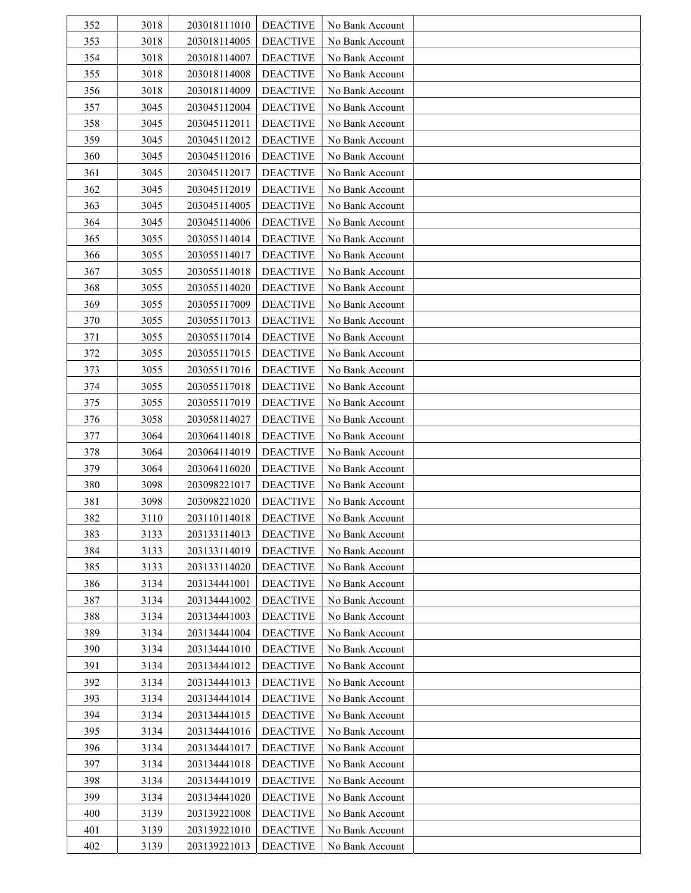| 352 | 3018 | 203018111010 | <b>DEACTIVE</b> | No Bank Account |  |
|-----|------|--------------|-----------------|-----------------|--|
| 353 | 3018 | 203018114005 | <b>DEACTIVE</b> | No Bank Account |  |
| 354 | 3018 | 203018114007 | <b>DEACTIVE</b> | No Bank Account |  |
| 355 | 3018 | 203018114008 | <b>DEACTIVE</b> | No Bank Account |  |
| 356 | 3018 | 203018114009 | <b>DEACTIVE</b> | No Bank Account |  |
| 357 | 3045 | 203045112004 | <b>DEACTIVE</b> | No Bank Account |  |
| 358 | 3045 | 203045112011 | <b>DEACTIVE</b> | No Bank Account |  |
| 359 | 3045 | 203045112012 | <b>DEACTIVE</b> | No Bank Account |  |
| 360 | 3045 | 203045112016 | <b>DEACTIVE</b> | No Bank Account |  |
| 361 | 3045 | 203045112017 | <b>DEACTIVE</b> | No Bank Account |  |
| 362 | 3045 | 203045112019 | <b>DEACTIVE</b> | No Bank Account |  |
| 363 | 3045 | 203045114005 | <b>DEACTIVE</b> | No Bank Account |  |
| 364 | 3045 | 203045114006 | <b>DEACTIVE</b> | No Bank Account |  |
| 365 | 3055 | 203055114014 | <b>DEACTIVE</b> | No Bank Account |  |
| 366 | 3055 | 203055114017 | <b>DEACTIVE</b> | No Bank Account |  |
| 367 | 3055 | 203055114018 | <b>DEACTIVE</b> | No Bank Account |  |
| 368 | 3055 | 203055114020 | <b>DEACTIVE</b> | No Bank Account |  |
| 369 | 3055 | 203055117009 | <b>DEACTIVE</b> | No Bank Account |  |
| 370 | 3055 | 203055117013 | <b>DEACTIVE</b> | No Bank Account |  |
| 371 | 3055 | 203055117014 | <b>DEACTIVE</b> | No Bank Account |  |
| 372 | 3055 | 203055117015 | <b>DEACTIVE</b> | No Bank Account |  |
| 373 | 3055 | 203055117016 | <b>DEACTIVE</b> | No Bank Account |  |
| 374 | 3055 | 203055117018 | <b>DEACTIVE</b> | No Bank Account |  |
| 375 | 3055 | 203055117019 | <b>DEACTIVE</b> | No Bank Account |  |
| 376 | 3058 | 203058114027 | <b>DEACTIVE</b> | No Bank Account |  |
| 377 | 3064 | 203064114018 | <b>DEACTIVE</b> | No Bank Account |  |
| 378 | 3064 | 203064114019 | <b>DEACTIVE</b> | No Bank Account |  |
| 379 | 3064 | 203064116020 | <b>DEACTIVE</b> | No Bank Account |  |
| 380 | 3098 | 203098221017 | <b>DEACTIVE</b> | No Bank Account |  |
| 381 | 3098 | 203098221020 | <b>DEACTIVE</b> | No Bank Account |  |
| 382 | 3110 | 203110114018 | <b>DEACTIVE</b> | No Bank Account |  |
| 383 | 3133 | 203133114013 | <b>DEACTIVE</b> | No Bank Account |  |
| 384 | 3133 | 203133114019 | <b>DEACTIVE</b> | No Bank Account |  |
| 385 | 3133 | 203133114020 | <b>DEACTIVE</b> | No Bank Account |  |
| 386 | 3134 | 203134441001 | <b>DEACTIVE</b> | No Bank Account |  |
| 387 | 3134 | 203134441002 | <b>DEACTIVE</b> | No Bank Account |  |
| 388 | 3134 | 203134441003 | <b>DEACTIVE</b> | No Bank Account |  |
| 389 | 3134 | 203134441004 | <b>DEACTIVE</b> | No Bank Account |  |
| 390 | 3134 | 203134441010 | <b>DEACTIVE</b> | No Bank Account |  |
| 391 | 3134 | 203134441012 | <b>DEACTIVE</b> | No Bank Account |  |
| 392 | 3134 | 203134441013 | <b>DEACTIVE</b> | No Bank Account |  |
| 393 | 3134 | 203134441014 | <b>DEACTIVE</b> | No Bank Account |  |
| 394 | 3134 | 203134441015 | <b>DEACTIVE</b> | No Bank Account |  |
| 395 | 3134 | 203134441016 | <b>DEACTIVE</b> | No Bank Account |  |
| 396 | 3134 | 203134441017 | <b>DEACTIVE</b> | No Bank Account |  |
| 397 | 3134 | 203134441018 | <b>DEACTIVE</b> | No Bank Account |  |
| 398 | 3134 | 203134441019 | <b>DEACTIVE</b> | No Bank Account |  |
| 399 | 3134 | 203134441020 | <b>DEACTIVE</b> | No Bank Account |  |
| 400 | 3139 | 203139221008 | <b>DEACTIVE</b> | No Bank Account |  |
| 401 | 3139 | 203139221010 | <b>DEACTIVE</b> | No Bank Account |  |
| 402 | 3139 | 203139221013 | <b>DEACTIVE</b> | No Bank Account |  |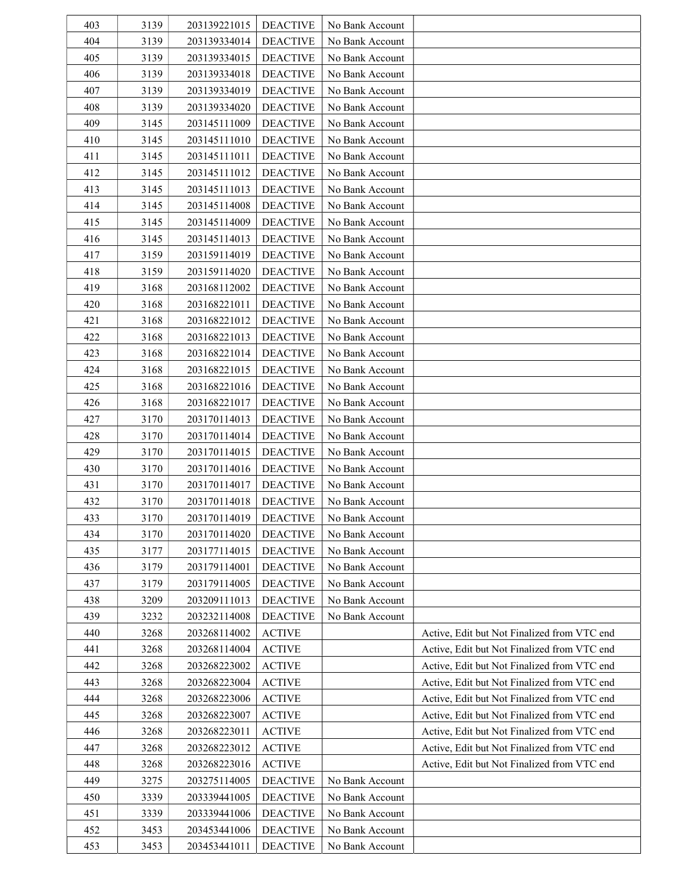| 403 | 3139 | 203139221015 | <b>DEACTIVE</b> | No Bank Account |                                             |
|-----|------|--------------|-----------------|-----------------|---------------------------------------------|
| 404 | 3139 | 203139334014 | <b>DEACTIVE</b> | No Bank Account |                                             |
| 405 | 3139 | 203139334015 | <b>DEACTIVE</b> | No Bank Account |                                             |
| 406 | 3139 | 203139334018 | <b>DEACTIVE</b> | No Bank Account |                                             |
| 407 | 3139 | 203139334019 | <b>DEACTIVE</b> | No Bank Account |                                             |
| 408 | 3139 | 203139334020 | <b>DEACTIVE</b> | No Bank Account |                                             |
| 409 | 3145 | 203145111009 | <b>DEACTIVE</b> | No Bank Account |                                             |
| 410 | 3145 | 203145111010 | <b>DEACTIVE</b> | No Bank Account |                                             |
| 411 | 3145 | 203145111011 | <b>DEACTIVE</b> | No Bank Account |                                             |
| 412 | 3145 | 203145111012 | <b>DEACTIVE</b> | No Bank Account |                                             |
| 413 | 3145 | 203145111013 | <b>DEACTIVE</b> | No Bank Account |                                             |
| 414 | 3145 | 203145114008 | <b>DEACTIVE</b> | No Bank Account |                                             |
| 415 | 3145 | 203145114009 | <b>DEACTIVE</b> | No Bank Account |                                             |
| 416 | 3145 | 203145114013 | <b>DEACTIVE</b> | No Bank Account |                                             |
| 417 | 3159 | 203159114019 | <b>DEACTIVE</b> | No Bank Account |                                             |
| 418 | 3159 | 203159114020 | <b>DEACTIVE</b> | No Bank Account |                                             |
| 419 | 3168 | 203168112002 | <b>DEACTIVE</b> | No Bank Account |                                             |
| 420 | 3168 | 203168221011 | <b>DEACTIVE</b> | No Bank Account |                                             |
| 421 | 3168 | 203168221012 | <b>DEACTIVE</b> | No Bank Account |                                             |
| 422 | 3168 | 203168221013 | <b>DEACTIVE</b> | No Bank Account |                                             |
| 423 | 3168 | 203168221014 | <b>DEACTIVE</b> | No Bank Account |                                             |
| 424 | 3168 | 203168221015 | <b>DEACTIVE</b> | No Bank Account |                                             |
| 425 | 3168 | 203168221016 | <b>DEACTIVE</b> | No Bank Account |                                             |
| 426 | 3168 | 203168221017 | <b>DEACTIVE</b> | No Bank Account |                                             |
| 427 | 3170 | 203170114013 | <b>DEACTIVE</b> | No Bank Account |                                             |
| 428 | 3170 | 203170114014 | <b>DEACTIVE</b> | No Bank Account |                                             |
| 429 | 3170 | 203170114015 | <b>DEACTIVE</b> | No Bank Account |                                             |
| 430 | 3170 | 203170114016 | <b>DEACTIVE</b> | No Bank Account |                                             |
| 431 | 3170 | 203170114017 | <b>DEACTIVE</b> | No Bank Account |                                             |
| 432 | 3170 | 203170114018 | <b>DEACTIVE</b> | No Bank Account |                                             |
| 433 | 3170 | 203170114019 | <b>DEACTIVE</b> | No Bank Account |                                             |
| 434 | 3170 | 203170114020 | <b>DEACTIVE</b> | No Bank Account |                                             |
| 435 | 3177 | 203177114015 | <b>DEACTIVE</b> | No Bank Account |                                             |
| 436 | 3179 | 203179114001 | <b>DEACTIVE</b> | No Bank Account |                                             |
| 437 | 3179 | 203179114005 | <b>DEACTIVE</b> | No Bank Account |                                             |
| 438 | 3209 | 203209111013 | <b>DEACTIVE</b> | No Bank Account |                                             |
| 439 | 3232 | 203232114008 | <b>DEACTIVE</b> | No Bank Account |                                             |
| 440 | 3268 | 203268114002 | <b>ACTIVE</b>   |                 | Active, Edit but Not Finalized from VTC end |
| 441 | 3268 | 203268114004 | <b>ACTIVE</b>   |                 | Active, Edit but Not Finalized from VTC end |
| 442 | 3268 | 203268223002 | <b>ACTIVE</b>   |                 | Active, Edit but Not Finalized from VTC end |
| 443 | 3268 | 203268223004 | <b>ACTIVE</b>   |                 | Active, Edit but Not Finalized from VTC end |
| 444 | 3268 | 203268223006 | <b>ACTIVE</b>   |                 | Active, Edit but Not Finalized from VTC end |
| 445 | 3268 | 203268223007 | <b>ACTIVE</b>   |                 | Active, Edit but Not Finalized from VTC end |
| 446 | 3268 | 203268223011 | <b>ACTIVE</b>   |                 | Active, Edit but Not Finalized from VTC end |
| 447 | 3268 | 203268223012 | <b>ACTIVE</b>   |                 | Active, Edit but Not Finalized from VTC end |
| 448 | 3268 | 203268223016 | <b>ACTIVE</b>   |                 | Active, Edit but Not Finalized from VTC end |
| 449 | 3275 | 203275114005 | <b>DEACTIVE</b> | No Bank Account |                                             |
| 450 | 3339 | 203339441005 | <b>DEACTIVE</b> | No Bank Account |                                             |
| 451 | 3339 | 203339441006 | <b>DEACTIVE</b> | No Bank Account |                                             |
| 452 | 3453 | 203453441006 | <b>DEACTIVE</b> | No Bank Account |                                             |
| 453 | 3453 | 203453441011 | <b>DEACTIVE</b> | No Bank Account |                                             |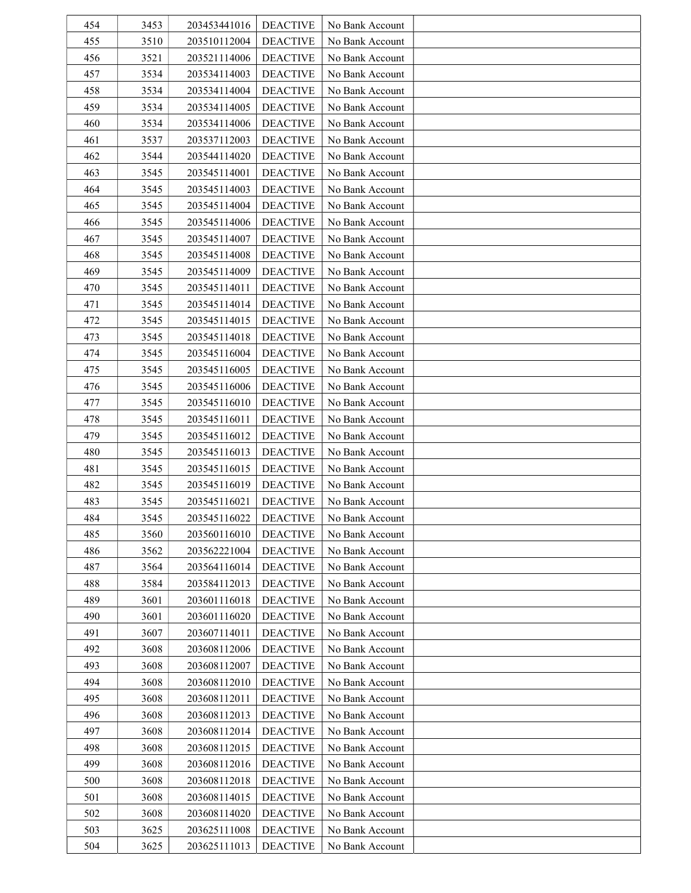| 454 | 3453 | 203453441016 | <b>DEACTIVE</b> | No Bank Account |  |
|-----|------|--------------|-----------------|-----------------|--|
| 455 | 3510 | 203510112004 | <b>DEACTIVE</b> | No Bank Account |  |
| 456 | 3521 | 203521114006 | <b>DEACTIVE</b> | No Bank Account |  |
| 457 | 3534 | 203534114003 | <b>DEACTIVE</b> | No Bank Account |  |
| 458 | 3534 | 203534114004 | <b>DEACTIVE</b> | No Bank Account |  |
| 459 | 3534 | 203534114005 | <b>DEACTIVE</b> | No Bank Account |  |
| 460 | 3534 | 203534114006 | <b>DEACTIVE</b> | No Bank Account |  |
| 461 | 3537 | 203537112003 | <b>DEACTIVE</b> | No Bank Account |  |
| 462 | 3544 | 203544114020 | <b>DEACTIVE</b> | No Bank Account |  |
| 463 | 3545 | 203545114001 | <b>DEACTIVE</b> | No Bank Account |  |
| 464 | 3545 | 203545114003 | <b>DEACTIVE</b> | No Bank Account |  |
| 465 | 3545 | 203545114004 | <b>DEACTIVE</b> | No Bank Account |  |
| 466 | 3545 | 203545114006 | <b>DEACTIVE</b> | No Bank Account |  |
| 467 | 3545 | 203545114007 | <b>DEACTIVE</b> | No Bank Account |  |
| 468 | 3545 | 203545114008 | <b>DEACTIVE</b> | No Bank Account |  |
| 469 | 3545 | 203545114009 | <b>DEACTIVE</b> | No Bank Account |  |
| 470 | 3545 | 203545114011 | <b>DEACTIVE</b> | No Bank Account |  |
|     |      |              |                 |                 |  |
| 471 | 3545 | 203545114014 | <b>DEACTIVE</b> | No Bank Account |  |
| 472 | 3545 | 203545114015 | <b>DEACTIVE</b> | No Bank Account |  |
| 473 | 3545 | 203545114018 | <b>DEACTIVE</b> | No Bank Account |  |
| 474 | 3545 | 203545116004 | <b>DEACTIVE</b> | No Bank Account |  |
| 475 | 3545 | 203545116005 | <b>DEACTIVE</b> | No Bank Account |  |
| 476 | 3545 | 203545116006 | <b>DEACTIVE</b> | No Bank Account |  |
| 477 | 3545 | 203545116010 | <b>DEACTIVE</b> | No Bank Account |  |
| 478 | 3545 | 203545116011 | <b>DEACTIVE</b> | No Bank Account |  |
| 479 | 3545 | 203545116012 | <b>DEACTIVE</b> | No Bank Account |  |
| 480 | 3545 | 203545116013 | <b>DEACTIVE</b> | No Bank Account |  |
| 481 | 3545 | 203545116015 | <b>DEACTIVE</b> | No Bank Account |  |
| 482 | 3545 | 203545116019 | <b>DEACTIVE</b> | No Bank Account |  |
| 483 | 3545 | 203545116021 | <b>DEACTIVE</b> | No Bank Account |  |
| 484 | 3545 | 203545116022 | <b>DEACTIVE</b> | No Bank Account |  |
| 485 | 3560 | 203560116010 | <b>DEACTIVE</b> | No Bank Account |  |
| 486 | 3562 | 203562221004 | <b>DEACTIVE</b> | No Bank Account |  |
| 487 | 3564 | 203564116014 | <b>DEACTIVE</b> | No Bank Account |  |
| 488 | 3584 | 203584112013 | <b>DEACTIVE</b> | No Bank Account |  |
| 489 | 3601 | 203601116018 | <b>DEACTIVE</b> | No Bank Account |  |
| 490 | 3601 | 203601116020 | <b>DEACTIVE</b> | No Bank Account |  |
| 491 | 3607 | 203607114011 | <b>DEACTIVE</b> | No Bank Account |  |
| 492 | 3608 | 203608112006 | <b>DEACTIVE</b> | No Bank Account |  |
| 493 | 3608 | 203608112007 | <b>DEACTIVE</b> | No Bank Account |  |
| 494 | 3608 | 203608112010 | <b>DEACTIVE</b> | No Bank Account |  |
| 495 | 3608 | 203608112011 | <b>DEACTIVE</b> | No Bank Account |  |
| 496 | 3608 | 203608112013 | <b>DEACTIVE</b> | No Bank Account |  |
| 497 | 3608 | 203608112014 | <b>DEACTIVE</b> | No Bank Account |  |
| 498 | 3608 | 203608112015 | <b>DEACTIVE</b> | No Bank Account |  |
| 499 | 3608 | 203608112016 | <b>DEACTIVE</b> | No Bank Account |  |
| 500 | 3608 | 203608112018 | <b>DEACTIVE</b> | No Bank Account |  |
| 501 | 3608 | 203608114015 | <b>DEACTIVE</b> | No Bank Account |  |
| 502 | 3608 | 203608114020 | <b>DEACTIVE</b> | No Bank Account |  |
| 503 | 3625 | 203625111008 | <b>DEACTIVE</b> | No Bank Account |  |
| 504 | 3625 | 203625111013 | <b>DEACTIVE</b> | No Bank Account |  |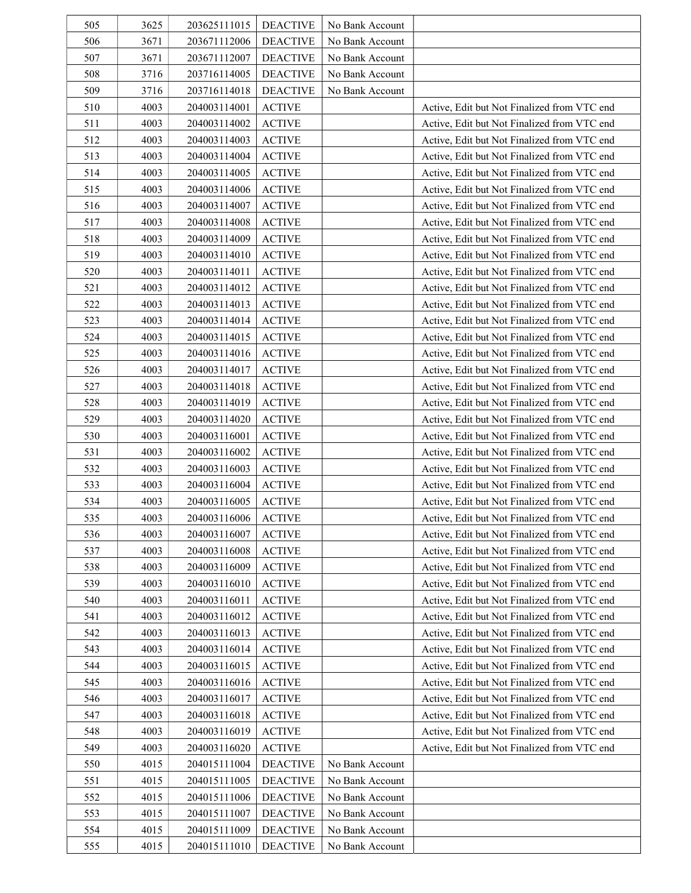| 505 | 3625 | 203625111015 | <b>DEACTIVE</b> | No Bank Account |                                             |
|-----|------|--------------|-----------------|-----------------|---------------------------------------------|
| 506 | 3671 | 203671112006 | <b>DEACTIVE</b> | No Bank Account |                                             |
| 507 | 3671 | 203671112007 | <b>DEACTIVE</b> | No Bank Account |                                             |
| 508 | 3716 | 203716114005 | <b>DEACTIVE</b> | No Bank Account |                                             |
| 509 | 3716 | 203716114018 | <b>DEACTIVE</b> | No Bank Account |                                             |
| 510 | 4003 | 204003114001 | <b>ACTIVE</b>   |                 | Active, Edit but Not Finalized from VTC end |
| 511 | 4003 | 204003114002 | <b>ACTIVE</b>   |                 | Active, Edit but Not Finalized from VTC end |
| 512 | 4003 | 204003114003 | <b>ACTIVE</b>   |                 | Active, Edit but Not Finalized from VTC end |
| 513 | 4003 | 204003114004 | <b>ACTIVE</b>   |                 | Active, Edit but Not Finalized from VTC end |
| 514 | 4003 | 204003114005 | <b>ACTIVE</b>   |                 | Active, Edit but Not Finalized from VTC end |
| 515 | 4003 | 204003114006 | <b>ACTIVE</b>   |                 | Active, Edit but Not Finalized from VTC end |
| 516 | 4003 | 204003114007 | <b>ACTIVE</b>   |                 | Active, Edit but Not Finalized from VTC end |
| 517 | 4003 | 204003114008 | <b>ACTIVE</b>   |                 | Active, Edit but Not Finalized from VTC end |
| 518 | 4003 | 204003114009 | <b>ACTIVE</b>   |                 | Active, Edit but Not Finalized from VTC end |
| 519 | 4003 | 204003114010 | <b>ACTIVE</b>   |                 | Active, Edit but Not Finalized from VTC end |
| 520 | 4003 | 204003114011 | <b>ACTIVE</b>   |                 | Active, Edit but Not Finalized from VTC end |
| 521 | 4003 | 204003114012 | <b>ACTIVE</b>   |                 | Active, Edit but Not Finalized from VTC end |
| 522 | 4003 | 204003114013 | <b>ACTIVE</b>   |                 | Active, Edit but Not Finalized from VTC end |
| 523 | 4003 | 204003114014 | <b>ACTIVE</b>   |                 | Active, Edit but Not Finalized from VTC end |
| 524 | 4003 | 204003114015 | <b>ACTIVE</b>   |                 | Active, Edit but Not Finalized from VTC end |
| 525 | 4003 | 204003114016 | <b>ACTIVE</b>   |                 | Active, Edit but Not Finalized from VTC end |
| 526 | 4003 | 204003114017 | <b>ACTIVE</b>   |                 | Active, Edit but Not Finalized from VTC end |
| 527 | 4003 | 204003114018 | <b>ACTIVE</b>   |                 | Active, Edit but Not Finalized from VTC end |
| 528 | 4003 | 204003114019 | <b>ACTIVE</b>   |                 | Active, Edit but Not Finalized from VTC end |
| 529 | 4003 | 204003114020 | <b>ACTIVE</b>   |                 | Active, Edit but Not Finalized from VTC end |
| 530 | 4003 | 204003116001 | <b>ACTIVE</b>   |                 | Active, Edit but Not Finalized from VTC end |
| 531 | 4003 | 204003116002 | <b>ACTIVE</b>   |                 | Active, Edit but Not Finalized from VTC end |
| 532 | 4003 | 204003116003 | <b>ACTIVE</b>   |                 | Active, Edit but Not Finalized from VTC end |
| 533 | 4003 | 204003116004 | <b>ACTIVE</b>   |                 | Active, Edit but Not Finalized from VTC end |
| 534 | 4003 | 204003116005 | <b>ACTIVE</b>   |                 | Active, Edit but Not Finalized from VTC end |
| 535 | 4003 | 204003116006 | <b>ACTIVE</b>   |                 | Active, Edit but Not Finalized from VTC end |
| 536 | 4003 | 204003116007 | <b>ACTIVE</b>   |                 | Active, Edit but Not Finalized from VTC end |
| 537 | 4003 | 204003116008 | <b>ACTIVE</b>   |                 | Active, Edit but Not Finalized from VTC end |
| 538 | 4003 | 204003116009 | <b>ACTIVE</b>   |                 | Active, Edit but Not Finalized from VTC end |
| 539 | 4003 | 204003116010 | <b>ACTIVE</b>   |                 | Active, Edit but Not Finalized from VTC end |
| 540 | 4003 | 204003116011 | <b>ACTIVE</b>   |                 | Active, Edit but Not Finalized from VTC end |
| 541 | 4003 | 204003116012 | <b>ACTIVE</b>   |                 | Active, Edit but Not Finalized from VTC end |
| 542 | 4003 | 204003116013 | <b>ACTIVE</b>   |                 | Active, Edit but Not Finalized from VTC end |
| 543 | 4003 | 204003116014 | <b>ACTIVE</b>   |                 | Active, Edit but Not Finalized from VTC end |
| 544 | 4003 | 204003116015 | <b>ACTIVE</b>   |                 | Active, Edit but Not Finalized from VTC end |
| 545 | 4003 | 204003116016 | <b>ACTIVE</b>   |                 | Active, Edit but Not Finalized from VTC end |
| 546 | 4003 | 204003116017 | <b>ACTIVE</b>   |                 | Active, Edit but Not Finalized from VTC end |
| 547 | 4003 | 204003116018 | <b>ACTIVE</b>   |                 | Active, Edit but Not Finalized from VTC end |
| 548 | 4003 | 204003116019 | <b>ACTIVE</b>   |                 | Active, Edit but Not Finalized from VTC end |
| 549 | 4003 | 204003116020 | <b>ACTIVE</b>   |                 | Active, Edit but Not Finalized from VTC end |
| 550 | 4015 | 204015111004 | <b>DEACTIVE</b> | No Bank Account |                                             |
| 551 | 4015 | 204015111005 | <b>DEACTIVE</b> | No Bank Account |                                             |
| 552 | 4015 | 204015111006 | <b>DEACTIVE</b> | No Bank Account |                                             |
| 553 | 4015 | 204015111007 | <b>DEACTIVE</b> | No Bank Account |                                             |
| 554 | 4015 | 204015111009 | <b>DEACTIVE</b> | No Bank Account |                                             |
| 555 | 4015 | 204015111010 | <b>DEACTIVE</b> | No Bank Account |                                             |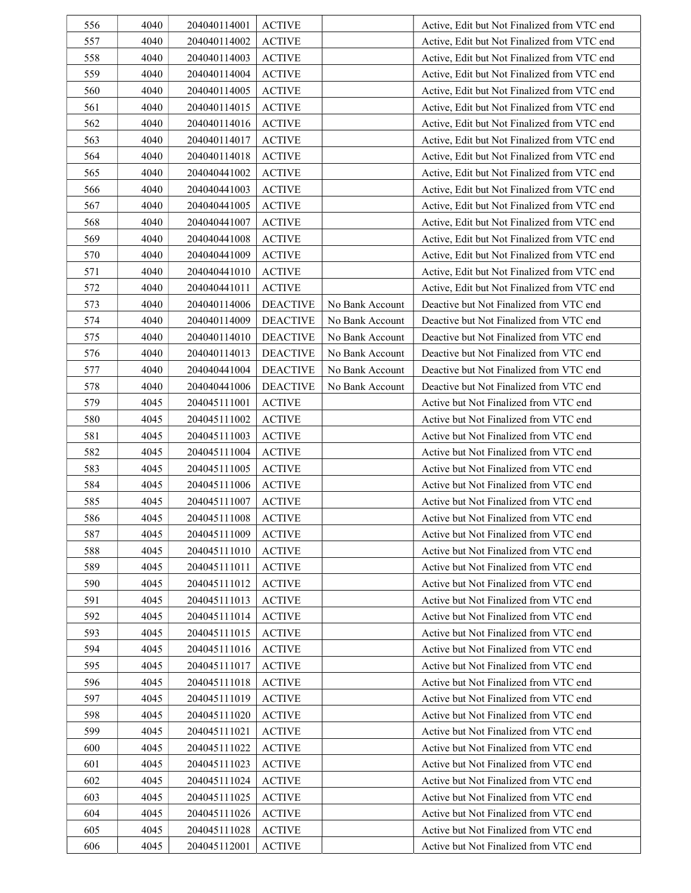| 556 | 4040 | 204040114001 | <b>ACTIVE</b>   |                 | Active, Edit but Not Finalized from VTC end |
|-----|------|--------------|-----------------|-----------------|---------------------------------------------|
| 557 | 4040 | 204040114002 | <b>ACTIVE</b>   |                 | Active, Edit but Not Finalized from VTC end |
| 558 | 4040 | 204040114003 | <b>ACTIVE</b>   |                 | Active, Edit but Not Finalized from VTC end |
| 559 | 4040 | 204040114004 | <b>ACTIVE</b>   |                 | Active, Edit but Not Finalized from VTC end |
| 560 | 4040 | 204040114005 | <b>ACTIVE</b>   |                 | Active, Edit but Not Finalized from VTC end |
| 561 | 4040 | 204040114015 | <b>ACTIVE</b>   |                 | Active, Edit but Not Finalized from VTC end |
| 562 | 4040 | 204040114016 | <b>ACTIVE</b>   |                 | Active, Edit but Not Finalized from VTC end |
| 563 | 4040 | 204040114017 | <b>ACTIVE</b>   |                 | Active, Edit but Not Finalized from VTC end |
| 564 | 4040 | 204040114018 | <b>ACTIVE</b>   |                 | Active, Edit but Not Finalized from VTC end |
| 565 | 4040 | 204040441002 | <b>ACTIVE</b>   |                 | Active, Edit but Not Finalized from VTC end |
| 566 | 4040 | 204040441003 | <b>ACTIVE</b>   |                 | Active, Edit but Not Finalized from VTC end |
| 567 | 4040 | 204040441005 | <b>ACTIVE</b>   |                 | Active, Edit but Not Finalized from VTC end |
| 568 | 4040 | 204040441007 | <b>ACTIVE</b>   |                 | Active, Edit but Not Finalized from VTC end |
| 569 | 4040 | 204040441008 | <b>ACTIVE</b>   |                 | Active, Edit but Not Finalized from VTC end |
| 570 | 4040 | 204040441009 | <b>ACTIVE</b>   |                 | Active, Edit but Not Finalized from VTC end |
| 571 | 4040 | 204040441010 | <b>ACTIVE</b>   |                 | Active, Edit but Not Finalized from VTC end |
| 572 | 4040 | 204040441011 | <b>ACTIVE</b>   |                 | Active, Edit but Not Finalized from VTC end |
| 573 | 4040 | 204040114006 | <b>DEACTIVE</b> | No Bank Account | Deactive but Not Finalized from VTC end     |
| 574 | 4040 | 204040114009 | <b>DEACTIVE</b> | No Bank Account | Deactive but Not Finalized from VTC end     |
| 575 | 4040 | 204040114010 | <b>DEACTIVE</b> | No Bank Account | Deactive but Not Finalized from VTC end     |
| 576 | 4040 | 204040114013 | <b>DEACTIVE</b> | No Bank Account | Deactive but Not Finalized from VTC end     |
| 577 | 4040 | 204040441004 | <b>DEACTIVE</b> | No Bank Account | Deactive but Not Finalized from VTC end     |
| 578 | 4040 | 204040441006 | <b>DEACTIVE</b> | No Bank Account | Deactive but Not Finalized from VTC end     |
| 579 | 4045 | 204045111001 | <b>ACTIVE</b>   |                 | Active but Not Finalized from VTC end       |
| 580 | 4045 | 204045111002 | <b>ACTIVE</b>   |                 | Active but Not Finalized from VTC end       |
| 581 | 4045 | 204045111003 | <b>ACTIVE</b>   |                 | Active but Not Finalized from VTC end       |
| 582 | 4045 | 204045111004 | <b>ACTIVE</b>   |                 | Active but Not Finalized from VTC end       |
| 583 | 4045 | 204045111005 | <b>ACTIVE</b>   |                 | Active but Not Finalized from VTC end       |
| 584 | 4045 | 204045111006 | <b>ACTIVE</b>   |                 | Active but Not Finalized from VTC end       |
| 585 | 4045 | 204045111007 | <b>ACTIVE</b>   |                 | Active but Not Finalized from VTC end       |
| 586 | 4045 | 204045111008 | <b>ACTIVE</b>   |                 | Active but Not Finalized from VTC end       |
| 587 | 4045 | 204045111009 | <b>ACTIVE</b>   |                 | Active but Not Finalized from VTC end       |
| 588 | 4045 | 204045111010 | <b>ACTIVE</b>   |                 | Active but Not Finalized from VTC end       |
| 589 | 4045 | 204045111011 | <b>ACTIVE</b>   |                 | Active but Not Finalized from VTC end       |
| 590 | 4045 | 204045111012 | <b>ACTIVE</b>   |                 | Active but Not Finalized from VTC end       |
| 591 | 4045 | 204045111013 | <b>ACTIVE</b>   |                 | Active but Not Finalized from VTC end       |
| 592 | 4045 | 204045111014 | <b>ACTIVE</b>   |                 | Active but Not Finalized from VTC end       |
| 593 | 4045 | 204045111015 | <b>ACTIVE</b>   |                 | Active but Not Finalized from VTC end       |
| 594 | 4045 | 204045111016 | <b>ACTIVE</b>   |                 | Active but Not Finalized from VTC end       |
| 595 | 4045 | 204045111017 | <b>ACTIVE</b>   |                 | Active but Not Finalized from VTC end       |
| 596 | 4045 | 204045111018 | <b>ACTIVE</b>   |                 | Active but Not Finalized from VTC end       |
| 597 | 4045 | 204045111019 | <b>ACTIVE</b>   |                 | Active but Not Finalized from VTC end       |
| 598 | 4045 | 204045111020 | <b>ACTIVE</b>   |                 | Active but Not Finalized from VTC end       |
| 599 | 4045 | 204045111021 | <b>ACTIVE</b>   |                 | Active but Not Finalized from VTC end       |
| 600 | 4045 | 204045111022 | <b>ACTIVE</b>   |                 | Active but Not Finalized from VTC end       |
| 601 | 4045 | 204045111023 | <b>ACTIVE</b>   |                 | Active but Not Finalized from VTC end       |
| 602 | 4045 | 204045111024 | <b>ACTIVE</b>   |                 | Active but Not Finalized from VTC end       |
| 603 | 4045 | 204045111025 | <b>ACTIVE</b>   |                 | Active but Not Finalized from VTC end       |
| 604 | 4045 | 204045111026 | <b>ACTIVE</b>   |                 | Active but Not Finalized from VTC end       |
| 605 | 4045 | 204045111028 | <b>ACTIVE</b>   |                 | Active but Not Finalized from VTC end       |
| 606 | 4045 | 204045112001 | <b>ACTIVE</b>   |                 | Active but Not Finalized from VTC end       |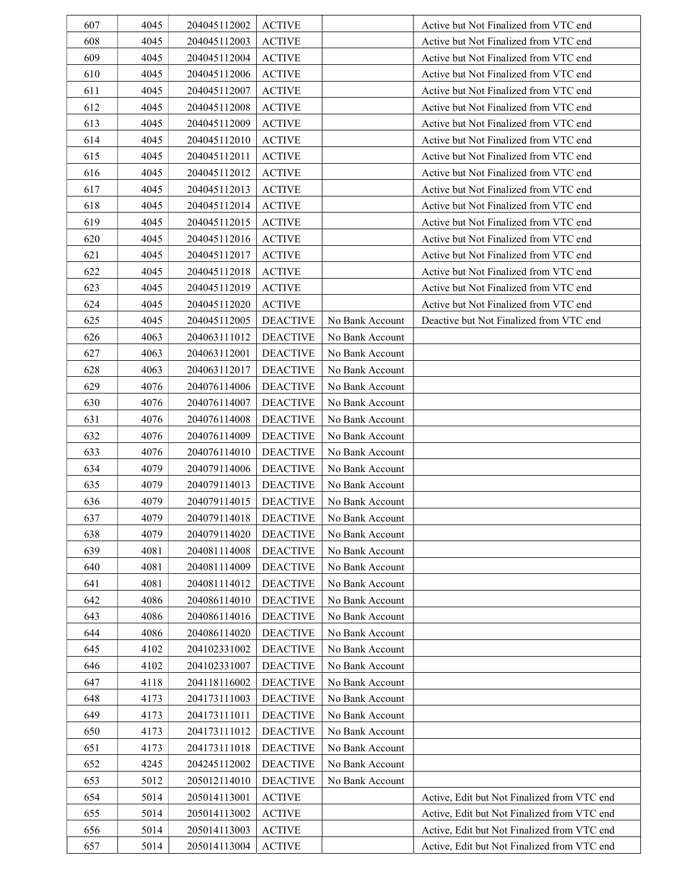| 607 | 4045 | 204045112002 | <b>ACTIVE</b>   |                 | Active but Not Finalized from VTC end       |
|-----|------|--------------|-----------------|-----------------|---------------------------------------------|
| 608 | 4045 | 204045112003 | <b>ACTIVE</b>   |                 | Active but Not Finalized from VTC end       |
| 609 | 4045 | 204045112004 | <b>ACTIVE</b>   |                 | Active but Not Finalized from VTC end       |
| 610 | 4045 | 204045112006 | <b>ACTIVE</b>   |                 | Active but Not Finalized from VTC end       |
| 611 | 4045 | 204045112007 | <b>ACTIVE</b>   |                 | Active but Not Finalized from VTC end       |
| 612 | 4045 | 204045112008 | <b>ACTIVE</b>   |                 | Active but Not Finalized from VTC end       |
| 613 | 4045 | 204045112009 | <b>ACTIVE</b>   |                 | Active but Not Finalized from VTC end       |
| 614 | 4045 | 204045112010 | <b>ACTIVE</b>   |                 | Active but Not Finalized from VTC end       |
| 615 | 4045 | 204045112011 | <b>ACTIVE</b>   |                 | Active but Not Finalized from VTC end       |
| 616 | 4045 | 204045112012 | <b>ACTIVE</b>   |                 | Active but Not Finalized from VTC end       |
| 617 | 4045 | 204045112013 | <b>ACTIVE</b>   |                 | Active but Not Finalized from VTC end       |
| 618 | 4045 | 204045112014 | <b>ACTIVE</b>   |                 | Active but Not Finalized from VTC end       |
| 619 | 4045 | 204045112015 | <b>ACTIVE</b>   |                 | Active but Not Finalized from VTC end       |
| 620 | 4045 | 204045112016 | <b>ACTIVE</b>   |                 | Active but Not Finalized from VTC end       |
| 621 | 4045 | 204045112017 | <b>ACTIVE</b>   |                 | Active but Not Finalized from VTC end       |
| 622 | 4045 | 204045112018 | <b>ACTIVE</b>   |                 | Active but Not Finalized from VTC end       |
| 623 | 4045 | 204045112019 | <b>ACTIVE</b>   |                 | Active but Not Finalized from VTC end       |
| 624 | 4045 | 204045112020 | <b>ACTIVE</b>   |                 | Active but Not Finalized from VTC end       |
| 625 | 4045 | 204045112005 | <b>DEACTIVE</b> | No Bank Account | Deactive but Not Finalized from VTC end     |
| 626 | 4063 | 204063111012 | <b>DEACTIVE</b> | No Bank Account |                                             |
| 627 | 4063 | 204063112001 | <b>DEACTIVE</b> | No Bank Account |                                             |
| 628 | 4063 | 204063112017 | <b>DEACTIVE</b> | No Bank Account |                                             |
| 629 | 4076 | 204076114006 | <b>DEACTIVE</b> | No Bank Account |                                             |
| 630 | 4076 | 204076114007 | <b>DEACTIVE</b> | No Bank Account |                                             |
| 631 | 4076 | 204076114008 | <b>DEACTIVE</b> | No Bank Account |                                             |
| 632 | 4076 | 204076114009 | <b>DEACTIVE</b> | No Bank Account |                                             |
| 633 | 4076 | 204076114010 | <b>DEACTIVE</b> | No Bank Account |                                             |
| 634 | 4079 | 204079114006 | <b>DEACTIVE</b> | No Bank Account |                                             |
| 635 | 4079 | 204079114013 | <b>DEACTIVE</b> | No Bank Account |                                             |
| 636 | 4079 | 204079114015 | <b>DEACTIVE</b> | No Bank Account |                                             |
| 637 | 4079 | 204079114018 | <b>DEACTIVE</b> | No Bank Account |                                             |
| 638 | 4079 | 204079114020 | <b>DEACTIVE</b> | No Bank Account |                                             |
| 639 | 4081 | 204081114008 | <b>DEACTIVE</b> | No Bank Account |                                             |
| 640 | 4081 | 204081114009 | <b>DEACTIVE</b> | No Bank Account |                                             |
| 641 | 4081 | 204081114012 | <b>DEACTIVE</b> | No Bank Account |                                             |
| 642 | 4086 | 204086114010 | <b>DEACTIVE</b> | No Bank Account |                                             |
| 643 | 4086 | 204086114016 | <b>DEACTIVE</b> | No Bank Account |                                             |
| 644 | 4086 | 204086114020 | <b>DEACTIVE</b> | No Bank Account |                                             |
| 645 | 4102 | 204102331002 | <b>DEACTIVE</b> | No Bank Account |                                             |
| 646 | 4102 | 204102331007 | <b>DEACTIVE</b> | No Bank Account |                                             |
| 647 | 4118 | 204118116002 | <b>DEACTIVE</b> | No Bank Account |                                             |
| 648 | 4173 | 204173111003 | <b>DEACTIVE</b> | No Bank Account |                                             |
| 649 | 4173 | 204173111011 | <b>DEACTIVE</b> | No Bank Account |                                             |
| 650 | 4173 | 204173111012 | <b>DEACTIVE</b> | No Bank Account |                                             |
| 651 | 4173 | 204173111018 | <b>DEACTIVE</b> | No Bank Account |                                             |
| 652 | 4245 | 204245112002 | <b>DEACTIVE</b> | No Bank Account |                                             |
| 653 | 5012 | 205012114010 | <b>DEACTIVE</b> | No Bank Account |                                             |
| 654 | 5014 | 205014113001 | <b>ACTIVE</b>   |                 | Active, Edit but Not Finalized from VTC end |
| 655 | 5014 | 205014113002 | <b>ACTIVE</b>   |                 | Active, Edit but Not Finalized from VTC end |
| 656 | 5014 | 205014113003 | <b>ACTIVE</b>   |                 | Active, Edit but Not Finalized from VTC end |
| 657 | 5014 | 205014113004 | <b>ACTIVE</b>   |                 | Active, Edit but Not Finalized from VTC end |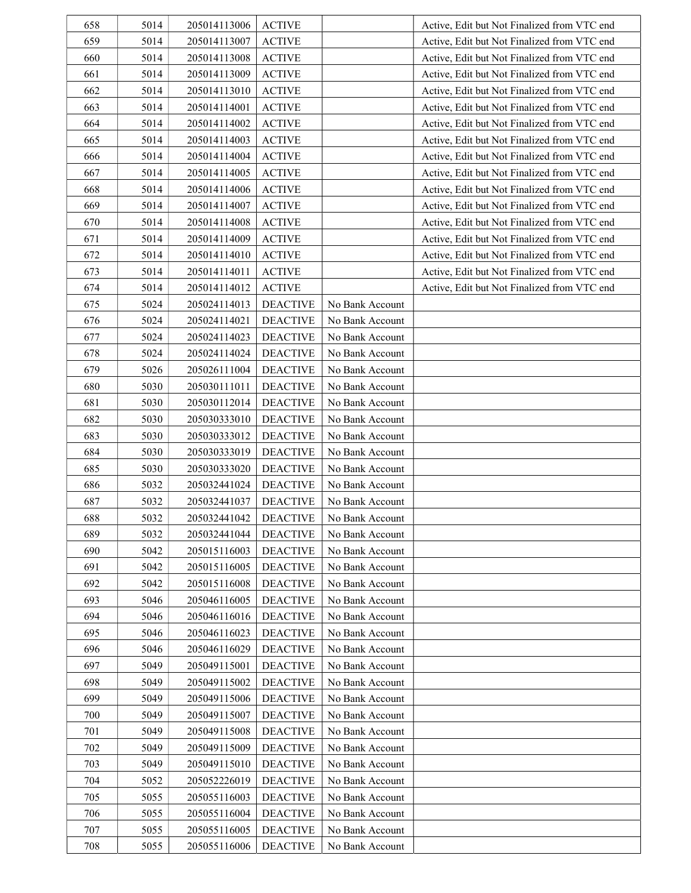| 658 | 5014 | 205014113006 | <b>ACTIVE</b>   |                 | Active, Edit but Not Finalized from VTC end |
|-----|------|--------------|-----------------|-----------------|---------------------------------------------|
| 659 | 5014 | 205014113007 | <b>ACTIVE</b>   |                 | Active, Edit but Not Finalized from VTC end |
| 660 | 5014 | 205014113008 | <b>ACTIVE</b>   |                 | Active, Edit but Not Finalized from VTC end |
| 661 | 5014 | 205014113009 | <b>ACTIVE</b>   |                 | Active, Edit but Not Finalized from VTC end |
| 662 | 5014 | 205014113010 | <b>ACTIVE</b>   |                 | Active, Edit but Not Finalized from VTC end |
| 663 | 5014 | 205014114001 | <b>ACTIVE</b>   |                 | Active, Edit but Not Finalized from VTC end |
| 664 | 5014 | 205014114002 | <b>ACTIVE</b>   |                 | Active, Edit but Not Finalized from VTC end |
| 665 | 5014 | 205014114003 | <b>ACTIVE</b>   |                 | Active, Edit but Not Finalized from VTC end |
| 666 | 5014 | 205014114004 | <b>ACTIVE</b>   |                 | Active, Edit but Not Finalized from VTC end |
| 667 | 5014 | 205014114005 | <b>ACTIVE</b>   |                 | Active, Edit but Not Finalized from VTC end |
| 668 | 5014 | 205014114006 | <b>ACTIVE</b>   |                 | Active, Edit but Not Finalized from VTC end |
| 669 | 5014 | 205014114007 | <b>ACTIVE</b>   |                 | Active, Edit but Not Finalized from VTC end |
| 670 | 5014 | 205014114008 | <b>ACTIVE</b>   |                 | Active, Edit but Not Finalized from VTC end |
| 671 | 5014 | 205014114009 | <b>ACTIVE</b>   |                 | Active, Edit but Not Finalized from VTC end |
| 672 | 5014 | 205014114010 | <b>ACTIVE</b>   |                 | Active, Edit but Not Finalized from VTC end |
| 673 | 5014 | 205014114011 | <b>ACTIVE</b>   |                 | Active, Edit but Not Finalized from VTC end |
| 674 | 5014 | 205014114012 | <b>ACTIVE</b>   |                 | Active, Edit but Not Finalized from VTC end |
| 675 | 5024 | 205024114013 | <b>DEACTIVE</b> | No Bank Account |                                             |
| 676 | 5024 | 205024114021 | <b>DEACTIVE</b> | No Bank Account |                                             |
| 677 | 5024 | 205024114023 | <b>DEACTIVE</b> | No Bank Account |                                             |
| 678 | 5024 | 205024114024 | <b>DEACTIVE</b> | No Bank Account |                                             |
| 679 | 5026 | 205026111004 | <b>DEACTIVE</b> | No Bank Account |                                             |
| 680 | 5030 | 205030111011 | <b>DEACTIVE</b> | No Bank Account |                                             |
| 681 | 5030 | 205030112014 | <b>DEACTIVE</b> | No Bank Account |                                             |
| 682 | 5030 | 205030333010 | <b>DEACTIVE</b> | No Bank Account |                                             |
| 683 | 5030 | 205030333012 | <b>DEACTIVE</b> | No Bank Account |                                             |
| 684 | 5030 | 205030333019 | <b>DEACTIVE</b> | No Bank Account |                                             |
| 685 | 5030 | 205030333020 | <b>DEACTIVE</b> | No Bank Account |                                             |
| 686 | 5032 | 205032441024 | <b>DEACTIVE</b> | No Bank Account |                                             |
| 687 | 5032 | 205032441037 | <b>DEACTIVE</b> | No Bank Account |                                             |
| 688 | 5032 | 205032441042 | <b>DEACTIVE</b> | No Bank Account |                                             |
| 689 | 5032 | 205032441044 | <b>DEACTIVE</b> | No Bank Account |                                             |
| 690 | 5042 | 205015116003 | <b>DEACTIVE</b> | No Bank Account |                                             |
| 691 | 5042 | 205015116005 | <b>DEACTIVE</b> | No Bank Account |                                             |
| 692 | 5042 | 205015116008 | <b>DEACTIVE</b> | No Bank Account |                                             |
| 693 | 5046 | 205046116005 | <b>DEACTIVE</b> | No Bank Account |                                             |
| 694 | 5046 | 205046116016 | <b>DEACTIVE</b> | No Bank Account |                                             |
| 695 | 5046 | 205046116023 | <b>DEACTIVE</b> | No Bank Account |                                             |
| 696 | 5046 | 205046116029 | <b>DEACTIVE</b> | No Bank Account |                                             |
| 697 | 5049 | 205049115001 | <b>DEACTIVE</b> | No Bank Account |                                             |
| 698 | 5049 | 205049115002 | <b>DEACTIVE</b> | No Bank Account |                                             |
| 699 | 5049 | 205049115006 | <b>DEACTIVE</b> | No Bank Account |                                             |
| 700 | 5049 | 205049115007 | <b>DEACTIVE</b> | No Bank Account |                                             |
| 701 | 5049 | 205049115008 | <b>DEACTIVE</b> | No Bank Account |                                             |
| 702 | 5049 | 205049115009 | <b>DEACTIVE</b> | No Bank Account |                                             |
| 703 | 5049 | 205049115010 | <b>DEACTIVE</b> | No Bank Account |                                             |
| 704 | 5052 | 205052226019 | <b>DEACTIVE</b> | No Bank Account |                                             |
| 705 | 5055 | 205055116003 | <b>DEACTIVE</b> | No Bank Account |                                             |
| 706 | 5055 | 205055116004 | <b>DEACTIVE</b> | No Bank Account |                                             |
| 707 | 5055 | 205055116005 | <b>DEACTIVE</b> | No Bank Account |                                             |
| 708 | 5055 | 205055116006 | <b>DEACTIVE</b> | No Bank Account |                                             |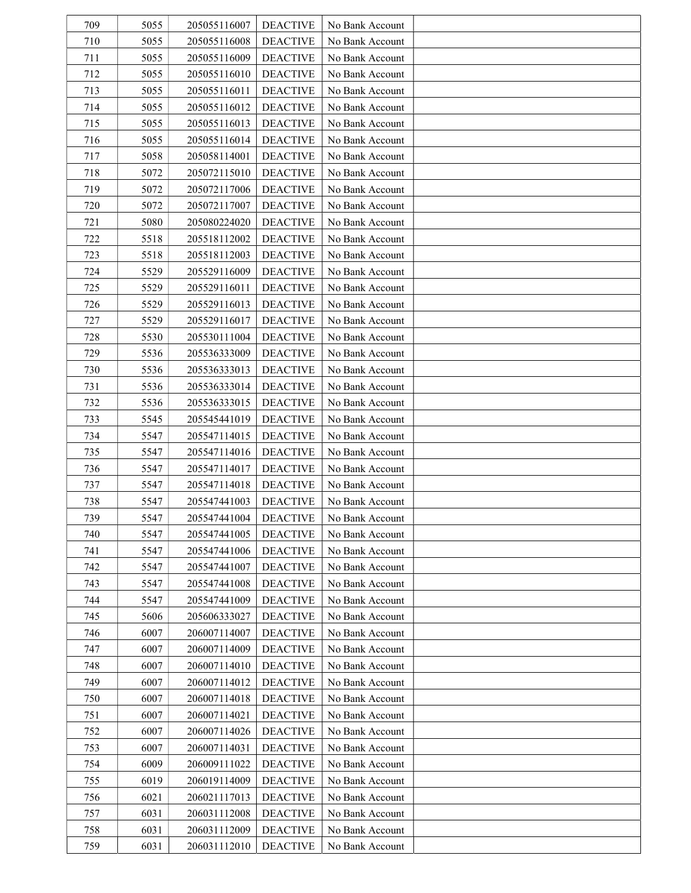| 709 | 5055 | 205055116007 | <b>DEACTIVE</b> | No Bank Account |  |
|-----|------|--------------|-----------------|-----------------|--|
| 710 | 5055 | 205055116008 | <b>DEACTIVE</b> | No Bank Account |  |
| 711 | 5055 | 205055116009 | <b>DEACTIVE</b> | No Bank Account |  |
| 712 | 5055 | 205055116010 | <b>DEACTIVE</b> | No Bank Account |  |
| 713 | 5055 | 205055116011 | <b>DEACTIVE</b> | No Bank Account |  |
| 714 | 5055 | 205055116012 | <b>DEACTIVE</b> | No Bank Account |  |
| 715 | 5055 | 205055116013 | <b>DEACTIVE</b> | No Bank Account |  |
| 716 | 5055 | 205055116014 | <b>DEACTIVE</b> | No Bank Account |  |
| 717 | 5058 | 205058114001 | <b>DEACTIVE</b> | No Bank Account |  |
| 718 | 5072 | 205072115010 | <b>DEACTIVE</b> | No Bank Account |  |
| 719 | 5072 | 205072117006 | <b>DEACTIVE</b> | No Bank Account |  |
| 720 | 5072 | 205072117007 | <b>DEACTIVE</b> | No Bank Account |  |
| 721 | 5080 | 205080224020 | <b>DEACTIVE</b> | No Bank Account |  |
| 722 | 5518 | 205518112002 | <b>DEACTIVE</b> | No Bank Account |  |
| 723 | 5518 | 205518112003 | <b>DEACTIVE</b> | No Bank Account |  |
| 724 | 5529 | 205529116009 | <b>DEACTIVE</b> | No Bank Account |  |
| 725 | 5529 | 205529116011 | <b>DEACTIVE</b> | No Bank Account |  |
| 726 | 5529 | 205529116013 | <b>DEACTIVE</b> | No Bank Account |  |
| 727 | 5529 | 205529116017 | <b>DEACTIVE</b> | No Bank Account |  |
| 728 | 5530 | 205530111004 | <b>DEACTIVE</b> | No Bank Account |  |
| 729 | 5536 | 205536333009 | <b>DEACTIVE</b> | No Bank Account |  |
| 730 | 5536 | 205536333013 | <b>DEACTIVE</b> | No Bank Account |  |
| 731 | 5536 | 205536333014 | <b>DEACTIVE</b> | No Bank Account |  |
| 732 | 5536 | 205536333015 | <b>DEACTIVE</b> | No Bank Account |  |
| 733 | 5545 | 205545441019 | <b>DEACTIVE</b> | No Bank Account |  |
| 734 | 5547 | 205547114015 | <b>DEACTIVE</b> | No Bank Account |  |
| 735 | 5547 | 205547114016 | <b>DEACTIVE</b> | No Bank Account |  |
| 736 | 5547 | 205547114017 | <b>DEACTIVE</b> | No Bank Account |  |
| 737 | 5547 | 205547114018 | <b>DEACTIVE</b> | No Bank Account |  |
| 738 | 5547 | 205547441003 | <b>DEACTIVE</b> | No Bank Account |  |
| 739 | 5547 | 205547441004 | <b>DEACTIVE</b> | No Bank Account |  |
| 740 | 5547 | 205547441005 | <b>DEACTIVE</b> | No Bank Account |  |
| 741 | 5547 | 205547441006 | <b>DEACTIVE</b> | No Bank Account |  |
| 742 | 5547 | 205547441007 | <b>DEACTIVE</b> | No Bank Account |  |
| 743 | 5547 | 205547441008 | <b>DEACTIVE</b> | No Bank Account |  |
| 744 | 5547 | 205547441009 | <b>DEACTIVE</b> | No Bank Account |  |
| 745 | 5606 | 205606333027 | <b>DEACTIVE</b> | No Bank Account |  |
| 746 | 6007 | 206007114007 | <b>DEACTIVE</b> | No Bank Account |  |
| 747 | 6007 | 206007114009 | <b>DEACTIVE</b> | No Bank Account |  |
| 748 | 6007 | 206007114010 | <b>DEACTIVE</b> | No Bank Account |  |
| 749 | 6007 | 206007114012 | <b>DEACTIVE</b> | No Bank Account |  |
| 750 | 6007 | 206007114018 | <b>DEACTIVE</b> | No Bank Account |  |
| 751 | 6007 | 206007114021 | <b>DEACTIVE</b> | No Bank Account |  |
| 752 | 6007 | 206007114026 | <b>DEACTIVE</b> | No Bank Account |  |
| 753 | 6007 | 206007114031 | <b>DEACTIVE</b> | No Bank Account |  |
| 754 | 6009 | 206009111022 | <b>DEACTIVE</b> | No Bank Account |  |
| 755 | 6019 | 206019114009 | <b>DEACTIVE</b> | No Bank Account |  |
| 756 | 6021 | 206021117013 | <b>DEACTIVE</b> | No Bank Account |  |
| 757 | 6031 | 206031112008 | <b>DEACTIVE</b> | No Bank Account |  |
| 758 | 6031 | 206031112009 | <b>DEACTIVE</b> | No Bank Account |  |
| 759 | 6031 | 206031112010 | <b>DEACTIVE</b> | No Bank Account |  |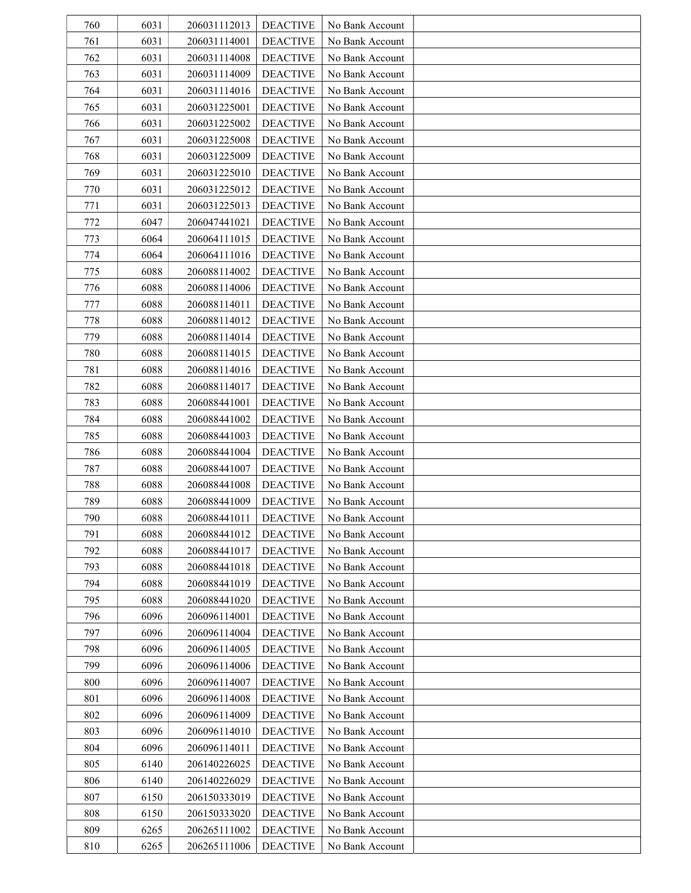| 760 | 6031 | 206031112013 | <b>DEACTIVE</b> | No Bank Account |  |
|-----|------|--------------|-----------------|-----------------|--|
| 761 | 6031 | 206031114001 | <b>DEACTIVE</b> | No Bank Account |  |
| 762 | 6031 | 206031114008 | <b>DEACTIVE</b> | No Bank Account |  |
| 763 | 6031 | 206031114009 | <b>DEACTIVE</b> | No Bank Account |  |
| 764 | 6031 | 206031114016 | <b>DEACTIVE</b> | No Bank Account |  |
| 765 | 6031 | 206031225001 | <b>DEACTIVE</b> | No Bank Account |  |
| 766 | 6031 | 206031225002 | <b>DEACTIVE</b> | No Bank Account |  |
| 767 | 6031 | 206031225008 | <b>DEACTIVE</b> | No Bank Account |  |
| 768 | 6031 | 206031225009 | <b>DEACTIVE</b> | No Bank Account |  |
| 769 | 6031 | 206031225010 | <b>DEACTIVE</b> | No Bank Account |  |
| 770 | 6031 | 206031225012 | <b>DEACTIVE</b> | No Bank Account |  |
| 771 | 6031 | 206031225013 | <b>DEACTIVE</b> | No Bank Account |  |
| 772 | 6047 | 206047441021 | <b>DEACTIVE</b> | No Bank Account |  |
| 773 | 6064 | 206064111015 | <b>DEACTIVE</b> | No Bank Account |  |
| 774 | 6064 | 206064111016 | <b>DEACTIVE</b> | No Bank Account |  |
| 775 | 6088 | 206088114002 | <b>DEACTIVE</b> | No Bank Account |  |
| 776 | 6088 | 206088114006 | <b>DEACTIVE</b> | No Bank Account |  |
| 777 | 6088 | 206088114011 | <b>DEACTIVE</b> | No Bank Account |  |
| 778 | 6088 | 206088114012 | <b>DEACTIVE</b> | No Bank Account |  |
| 779 | 6088 | 206088114014 | <b>DEACTIVE</b> | No Bank Account |  |
| 780 | 6088 | 206088114015 | <b>DEACTIVE</b> | No Bank Account |  |
| 781 | 6088 | 206088114016 | <b>DEACTIVE</b> | No Bank Account |  |
| 782 | 6088 | 206088114017 | <b>DEACTIVE</b> | No Bank Account |  |
| 783 | 6088 | 206088441001 | <b>DEACTIVE</b> | No Bank Account |  |
| 784 | 6088 | 206088441002 | <b>DEACTIVE</b> | No Bank Account |  |
| 785 | 6088 | 206088441003 | <b>DEACTIVE</b> | No Bank Account |  |
| 786 | 6088 | 206088441004 | <b>DEACTIVE</b> | No Bank Account |  |
| 787 | 6088 | 206088441007 | <b>DEACTIVE</b> | No Bank Account |  |
| 788 | 6088 | 206088441008 | <b>DEACTIVE</b> | No Bank Account |  |
| 789 | 6088 | 206088441009 | <b>DEACTIVE</b> | No Bank Account |  |
| 790 | 6088 | 206088441011 | <b>DEACTIVE</b> | No Bank Account |  |
| 791 | 6088 | 206088441012 | <b>DEACTIVE</b> | No Bank Account |  |
| 792 | 6088 | 206088441017 | <b>DEACTIVE</b> | No Bank Account |  |
| 793 | 6088 | 206088441018 | <b>DEACTIVE</b> | No Bank Account |  |
| 794 | 6088 | 206088441019 | <b>DEACTIVE</b> | No Bank Account |  |
| 795 | 6088 | 206088441020 | <b>DEACTIVE</b> | No Bank Account |  |
| 796 | 6096 | 206096114001 | <b>DEACTIVE</b> | No Bank Account |  |
| 797 | 6096 | 206096114004 | <b>DEACTIVE</b> | No Bank Account |  |
| 798 | 6096 | 206096114005 | <b>DEACTIVE</b> | No Bank Account |  |
| 799 | 6096 | 206096114006 | <b>DEACTIVE</b> | No Bank Account |  |
| 800 | 6096 | 206096114007 | <b>DEACTIVE</b> | No Bank Account |  |
| 801 | 6096 | 206096114008 | <b>DEACTIVE</b> | No Bank Account |  |
| 802 | 6096 | 206096114009 | <b>DEACTIVE</b> | No Bank Account |  |
| 803 | 6096 | 206096114010 | <b>DEACTIVE</b> | No Bank Account |  |
| 804 | 6096 | 206096114011 | <b>DEACTIVE</b> | No Bank Account |  |
| 805 | 6140 | 206140226025 | <b>DEACTIVE</b> | No Bank Account |  |
| 806 | 6140 | 206140226029 | <b>DEACTIVE</b> | No Bank Account |  |
| 807 | 6150 | 206150333019 | <b>DEACTIVE</b> | No Bank Account |  |
| 808 | 6150 | 206150333020 | <b>DEACTIVE</b> | No Bank Account |  |
| 809 | 6265 | 206265111002 | <b>DEACTIVE</b> | No Bank Account |  |
| 810 | 6265 | 206265111006 | <b>DEACTIVE</b> | No Bank Account |  |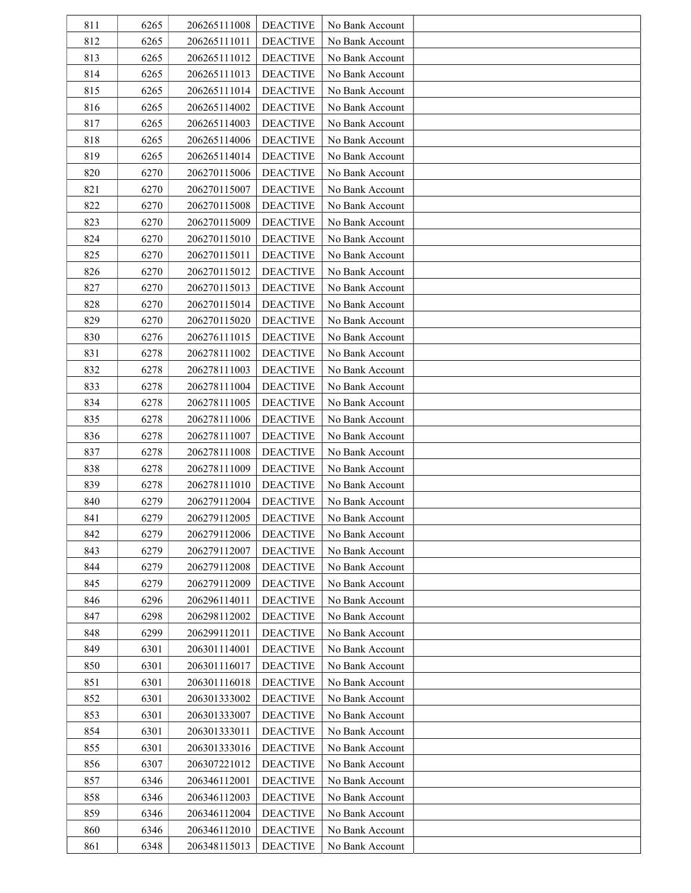| 811 | 6265 | 206265111008 | <b>DEACTIVE</b> | No Bank Account |  |
|-----|------|--------------|-----------------|-----------------|--|
| 812 | 6265 | 206265111011 | <b>DEACTIVE</b> | No Bank Account |  |
| 813 | 6265 | 206265111012 | <b>DEACTIVE</b> | No Bank Account |  |
| 814 | 6265 | 206265111013 | <b>DEACTIVE</b> | No Bank Account |  |
| 815 | 6265 | 206265111014 | <b>DEACTIVE</b> | No Bank Account |  |
| 816 | 6265 | 206265114002 | <b>DEACTIVE</b> | No Bank Account |  |
| 817 | 6265 | 206265114003 | <b>DEACTIVE</b> | No Bank Account |  |
| 818 | 6265 | 206265114006 | <b>DEACTIVE</b> | No Bank Account |  |
| 819 | 6265 | 206265114014 | <b>DEACTIVE</b> | No Bank Account |  |
| 820 | 6270 | 206270115006 | <b>DEACTIVE</b> | No Bank Account |  |
| 821 | 6270 | 206270115007 | <b>DEACTIVE</b> | No Bank Account |  |
| 822 | 6270 | 206270115008 | <b>DEACTIVE</b> | No Bank Account |  |
| 823 | 6270 | 206270115009 | <b>DEACTIVE</b> | No Bank Account |  |
| 824 | 6270 | 206270115010 | <b>DEACTIVE</b> | No Bank Account |  |
| 825 | 6270 | 206270115011 | <b>DEACTIVE</b> | No Bank Account |  |
| 826 | 6270 | 206270115012 | <b>DEACTIVE</b> | No Bank Account |  |
| 827 | 6270 | 206270115013 | <b>DEACTIVE</b> | No Bank Account |  |
| 828 | 6270 | 206270115014 | <b>DEACTIVE</b> | No Bank Account |  |
| 829 | 6270 | 206270115020 | <b>DEACTIVE</b> | No Bank Account |  |
| 830 | 6276 | 206276111015 | <b>DEACTIVE</b> | No Bank Account |  |
| 831 | 6278 | 206278111002 | <b>DEACTIVE</b> | No Bank Account |  |
| 832 | 6278 | 206278111003 | <b>DEACTIVE</b> | No Bank Account |  |
| 833 | 6278 | 206278111004 | <b>DEACTIVE</b> | No Bank Account |  |
| 834 | 6278 | 206278111005 | <b>DEACTIVE</b> | No Bank Account |  |
| 835 | 6278 | 206278111006 | <b>DEACTIVE</b> | No Bank Account |  |
| 836 | 6278 | 206278111007 | <b>DEACTIVE</b> | No Bank Account |  |
| 837 | 6278 | 206278111008 | <b>DEACTIVE</b> | No Bank Account |  |
| 838 | 6278 | 206278111009 | <b>DEACTIVE</b> | No Bank Account |  |
| 839 | 6278 | 206278111010 | <b>DEACTIVE</b> | No Bank Account |  |
| 840 | 6279 | 206279112004 | <b>DEACTIVE</b> | No Bank Account |  |
| 841 | 6279 | 206279112005 | <b>DEACTIVE</b> | No Bank Account |  |
| 842 | 6279 | 206279112006 | <b>DEACTIVE</b> | No Bank Account |  |
| 843 | 6279 | 206279112007 | <b>DEACTIVE</b> | No Bank Account |  |
| 844 | 6279 | 206279112008 | <b>DEACTIVE</b> | No Bank Account |  |
| 845 | 6279 | 206279112009 | <b>DEACTIVE</b> | No Bank Account |  |
| 846 | 6296 | 206296114011 | <b>DEACTIVE</b> | No Bank Account |  |
| 847 | 6298 | 206298112002 | <b>DEACTIVE</b> | No Bank Account |  |
| 848 | 6299 | 206299112011 | <b>DEACTIVE</b> | No Bank Account |  |
| 849 | 6301 | 206301114001 | <b>DEACTIVE</b> | No Bank Account |  |
| 850 | 6301 | 206301116017 | <b>DEACTIVE</b> | No Bank Account |  |
| 851 | 6301 | 206301116018 | <b>DEACTIVE</b> | No Bank Account |  |
| 852 | 6301 | 206301333002 | <b>DEACTIVE</b> | No Bank Account |  |
| 853 | 6301 | 206301333007 | <b>DEACTIVE</b> | No Bank Account |  |
| 854 | 6301 | 206301333011 | <b>DEACTIVE</b> | No Bank Account |  |
| 855 | 6301 | 206301333016 | <b>DEACTIVE</b> | No Bank Account |  |
| 856 | 6307 | 206307221012 | <b>DEACTIVE</b> | No Bank Account |  |
| 857 | 6346 | 206346112001 | <b>DEACTIVE</b> | No Bank Account |  |
| 858 | 6346 | 206346112003 | <b>DEACTIVE</b> | No Bank Account |  |
| 859 | 6346 | 206346112004 | <b>DEACTIVE</b> | No Bank Account |  |
| 860 | 6346 | 206346112010 | <b>DEACTIVE</b> | No Bank Account |  |
| 861 | 6348 | 206348115013 | <b>DEACTIVE</b> | No Bank Account |  |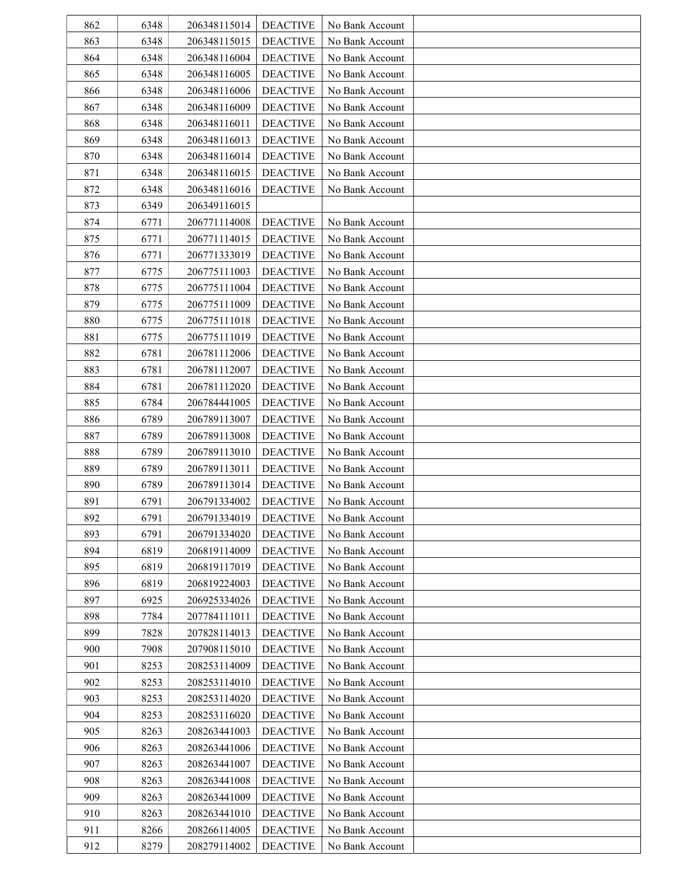| 862 | 6348 | 206348115014 | <b>DEACTIVE</b> | No Bank Account |  |
|-----|------|--------------|-----------------|-----------------|--|
| 863 | 6348 | 206348115015 | <b>DEACTIVE</b> | No Bank Account |  |
| 864 | 6348 | 206348116004 | <b>DEACTIVE</b> | No Bank Account |  |
| 865 | 6348 | 206348116005 | <b>DEACTIVE</b> | No Bank Account |  |
| 866 | 6348 | 206348116006 | <b>DEACTIVE</b> | No Bank Account |  |
| 867 | 6348 | 206348116009 | <b>DEACTIVE</b> | No Bank Account |  |
| 868 | 6348 | 206348116011 | <b>DEACTIVE</b> | No Bank Account |  |
| 869 | 6348 | 206348116013 | <b>DEACTIVE</b> | No Bank Account |  |
| 870 | 6348 | 206348116014 | <b>DEACTIVE</b> | No Bank Account |  |
| 871 | 6348 | 206348116015 | <b>DEACTIVE</b> | No Bank Account |  |
| 872 | 6348 | 206348116016 | <b>DEACTIVE</b> | No Bank Account |  |
| 873 | 6349 | 206349116015 |                 |                 |  |
| 874 | 6771 | 206771114008 | <b>DEACTIVE</b> | No Bank Account |  |
| 875 | 6771 | 206771114015 | <b>DEACTIVE</b> | No Bank Account |  |
| 876 | 6771 | 206771333019 | <b>DEACTIVE</b> | No Bank Account |  |
| 877 | 6775 | 206775111003 | <b>DEACTIVE</b> | No Bank Account |  |
| 878 | 6775 | 206775111004 | <b>DEACTIVE</b> | No Bank Account |  |
| 879 | 6775 | 206775111009 | <b>DEACTIVE</b> | No Bank Account |  |
| 880 | 6775 | 206775111018 | <b>DEACTIVE</b> | No Bank Account |  |
| 881 |      | 206775111019 | <b>DEACTIVE</b> | No Bank Account |  |
| 882 | 6775 |              |                 |                 |  |
|     | 6781 | 206781112006 | <b>DEACTIVE</b> | No Bank Account |  |
| 883 | 6781 | 206781112007 | <b>DEACTIVE</b> | No Bank Account |  |
| 884 | 6781 | 206781112020 | <b>DEACTIVE</b> | No Bank Account |  |
| 885 | 6784 | 206784441005 | <b>DEACTIVE</b> | No Bank Account |  |
| 886 | 6789 | 206789113007 | <b>DEACTIVE</b> | No Bank Account |  |
| 887 | 6789 | 206789113008 | <b>DEACTIVE</b> | No Bank Account |  |
| 888 | 6789 | 206789113010 | <b>DEACTIVE</b> | No Bank Account |  |
| 889 | 6789 | 206789113011 | <b>DEACTIVE</b> | No Bank Account |  |
| 890 | 6789 | 206789113014 | <b>DEACTIVE</b> | No Bank Account |  |
| 891 | 6791 | 206791334002 | <b>DEACTIVE</b> | No Bank Account |  |
| 892 | 6791 | 206791334019 | <b>DEACTIVE</b> | No Bank Account |  |
| 893 | 6791 | 206791334020 | <b>DEACTIVE</b> | No Bank Account |  |
| 894 | 6819 | 206819114009 | <b>DEACTIVE</b> | No Bank Account |  |
| 895 | 6819 | 206819117019 | <b>DEACTIVE</b> | No Bank Account |  |
| 896 | 6819 | 206819224003 | <b>DEACTIVE</b> | No Bank Account |  |
| 897 | 6925 | 206925334026 | <b>DEACTIVE</b> | No Bank Account |  |
| 898 | 7784 | 207784111011 | <b>DEACTIVE</b> | No Bank Account |  |
| 899 | 7828 | 207828114013 | <b>DEACTIVE</b> | No Bank Account |  |
| 900 | 7908 | 207908115010 | <b>DEACTIVE</b> | No Bank Account |  |
| 901 | 8253 | 208253114009 | <b>DEACTIVE</b> | No Bank Account |  |
| 902 | 8253 | 208253114010 | <b>DEACTIVE</b> | No Bank Account |  |
| 903 | 8253 | 208253114020 | <b>DEACTIVE</b> | No Bank Account |  |
| 904 | 8253 | 208253116020 | <b>DEACTIVE</b> | No Bank Account |  |
| 905 | 8263 | 208263441003 | <b>DEACTIVE</b> | No Bank Account |  |
| 906 | 8263 | 208263441006 | <b>DEACTIVE</b> | No Bank Account |  |
| 907 | 8263 | 208263441007 | <b>DEACTIVE</b> | No Bank Account |  |
| 908 | 8263 | 208263441008 | <b>DEACTIVE</b> | No Bank Account |  |
| 909 | 8263 | 208263441009 | <b>DEACTIVE</b> | No Bank Account |  |
| 910 | 8263 | 208263441010 | <b>DEACTIVE</b> | No Bank Account |  |
| 911 | 8266 | 208266114005 | <b>DEACTIVE</b> | No Bank Account |  |
| 912 | 8279 | 208279114002 | <b>DEACTIVE</b> | No Bank Account |  |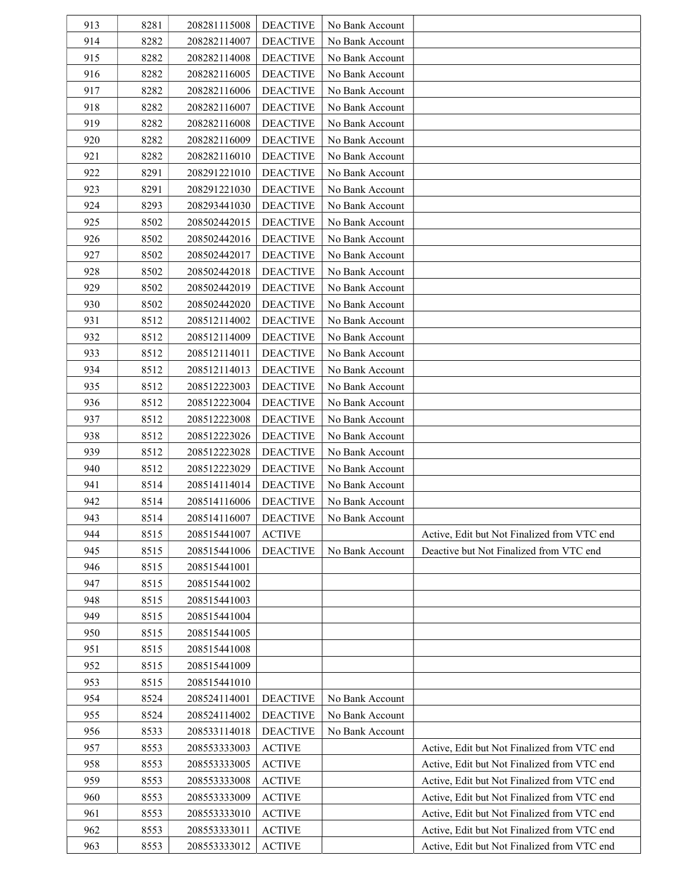| 913 | 8281 | 208281115008 | <b>DEACTIVE</b> | No Bank Account |                                             |
|-----|------|--------------|-----------------|-----------------|---------------------------------------------|
| 914 | 8282 | 208282114007 | <b>DEACTIVE</b> | No Bank Account |                                             |
| 915 | 8282 | 208282114008 | <b>DEACTIVE</b> | No Bank Account |                                             |
| 916 | 8282 | 208282116005 | <b>DEACTIVE</b> | No Bank Account |                                             |
| 917 | 8282 | 208282116006 | <b>DEACTIVE</b> | No Bank Account |                                             |
| 918 | 8282 | 208282116007 | <b>DEACTIVE</b> | No Bank Account |                                             |
| 919 | 8282 | 208282116008 | <b>DEACTIVE</b> | No Bank Account |                                             |
| 920 | 8282 | 208282116009 | <b>DEACTIVE</b> | No Bank Account |                                             |
| 921 | 8282 | 208282116010 | <b>DEACTIVE</b> | No Bank Account |                                             |
| 922 | 8291 | 208291221010 | <b>DEACTIVE</b> | No Bank Account |                                             |
| 923 | 8291 | 208291221030 | <b>DEACTIVE</b> | No Bank Account |                                             |
| 924 | 8293 | 208293441030 | <b>DEACTIVE</b> | No Bank Account |                                             |
| 925 | 8502 | 208502442015 | <b>DEACTIVE</b> | No Bank Account |                                             |
| 926 | 8502 | 208502442016 | <b>DEACTIVE</b> | No Bank Account |                                             |
| 927 | 8502 | 208502442017 | <b>DEACTIVE</b> | No Bank Account |                                             |
| 928 | 8502 | 208502442018 | <b>DEACTIVE</b> | No Bank Account |                                             |
| 929 | 8502 | 208502442019 | <b>DEACTIVE</b> | No Bank Account |                                             |
| 930 | 8502 | 208502442020 | <b>DEACTIVE</b> | No Bank Account |                                             |
| 931 | 8512 | 208512114002 | <b>DEACTIVE</b> | No Bank Account |                                             |
| 932 | 8512 | 208512114009 | <b>DEACTIVE</b> | No Bank Account |                                             |
| 933 | 8512 | 208512114011 | <b>DEACTIVE</b> | No Bank Account |                                             |
| 934 | 8512 | 208512114013 | <b>DEACTIVE</b> | No Bank Account |                                             |
| 935 | 8512 | 208512223003 | <b>DEACTIVE</b> | No Bank Account |                                             |
| 936 | 8512 | 208512223004 | <b>DEACTIVE</b> | No Bank Account |                                             |
| 937 | 8512 | 208512223008 | <b>DEACTIVE</b> | No Bank Account |                                             |
| 938 | 8512 | 208512223026 | <b>DEACTIVE</b> | No Bank Account |                                             |
| 939 | 8512 | 208512223028 | <b>DEACTIVE</b> | No Bank Account |                                             |
| 940 | 8512 | 208512223029 | <b>DEACTIVE</b> | No Bank Account |                                             |
| 941 | 8514 | 208514114014 | <b>DEACTIVE</b> | No Bank Account |                                             |
| 942 | 8514 | 208514116006 | <b>DEACTIVE</b> | No Bank Account |                                             |
| 943 | 8514 | 208514116007 | <b>DEACTIVE</b> | No Bank Account |                                             |
| 944 | 8515 | 208515441007 | <b>ACTIVE</b>   |                 | Active, Edit but Not Finalized from VTC end |
| 945 | 8515 | 208515441006 | <b>DEACTIVE</b> | No Bank Account | Deactive but Not Finalized from VTC end     |
| 946 | 8515 | 208515441001 |                 |                 |                                             |
| 947 | 8515 | 208515441002 |                 |                 |                                             |
| 948 | 8515 | 208515441003 |                 |                 |                                             |
| 949 | 8515 | 208515441004 |                 |                 |                                             |
| 950 | 8515 | 208515441005 |                 |                 |                                             |
| 951 | 8515 | 208515441008 |                 |                 |                                             |
| 952 | 8515 | 208515441009 |                 |                 |                                             |
| 953 | 8515 | 208515441010 |                 |                 |                                             |
| 954 | 8524 | 208524114001 | <b>DEACTIVE</b> | No Bank Account |                                             |
| 955 | 8524 | 208524114002 | <b>DEACTIVE</b> | No Bank Account |                                             |
| 956 | 8533 | 208533114018 | <b>DEACTIVE</b> | No Bank Account |                                             |
| 957 | 8553 | 208553333003 | <b>ACTIVE</b>   |                 | Active, Edit but Not Finalized from VTC end |
| 958 | 8553 | 208553333005 | <b>ACTIVE</b>   |                 | Active, Edit but Not Finalized from VTC end |
| 959 | 8553 | 208553333008 | <b>ACTIVE</b>   |                 | Active, Edit but Not Finalized from VTC end |
| 960 | 8553 | 208553333009 | <b>ACTIVE</b>   |                 | Active, Edit but Not Finalized from VTC end |
| 961 | 8553 | 208553333010 | <b>ACTIVE</b>   |                 | Active, Edit but Not Finalized from VTC end |
| 962 | 8553 | 208553333011 | <b>ACTIVE</b>   |                 | Active, Edit but Not Finalized from VTC end |
| 963 | 8553 | 208553333012 | <b>ACTIVE</b>   |                 | Active, Edit but Not Finalized from VTC end |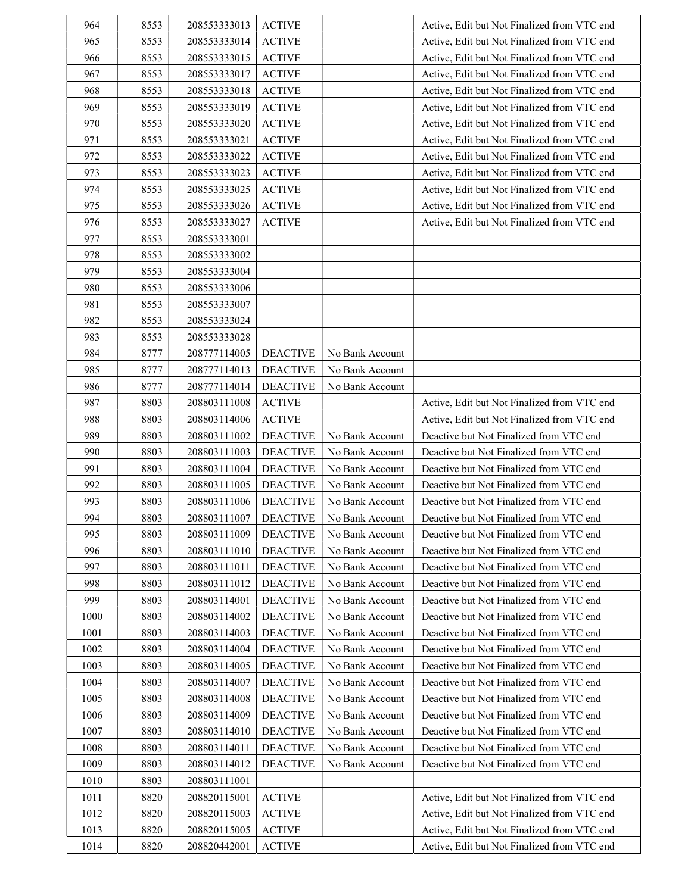| 964  | 8553 | 208553333013 | <b>ACTIVE</b>   |                 | Active, Edit but Not Finalized from VTC end |
|------|------|--------------|-----------------|-----------------|---------------------------------------------|
| 965  | 8553 | 208553333014 | <b>ACTIVE</b>   |                 | Active, Edit but Not Finalized from VTC end |
| 966  | 8553 | 208553333015 | <b>ACTIVE</b>   |                 | Active, Edit but Not Finalized from VTC end |
| 967  | 8553 | 208553333017 | <b>ACTIVE</b>   |                 | Active, Edit but Not Finalized from VTC end |
| 968  | 8553 | 208553333018 | <b>ACTIVE</b>   |                 | Active, Edit but Not Finalized from VTC end |
| 969  | 8553 | 208553333019 | <b>ACTIVE</b>   |                 | Active, Edit but Not Finalized from VTC end |
| 970  | 8553 | 208553333020 | <b>ACTIVE</b>   |                 | Active, Edit but Not Finalized from VTC end |
| 971  | 8553 | 208553333021 | <b>ACTIVE</b>   |                 | Active, Edit but Not Finalized from VTC end |
| 972  | 8553 | 208553333022 | <b>ACTIVE</b>   |                 | Active, Edit but Not Finalized from VTC end |
| 973  | 8553 | 208553333023 | <b>ACTIVE</b>   |                 | Active, Edit but Not Finalized from VTC end |
| 974  | 8553 | 208553333025 | <b>ACTIVE</b>   |                 | Active, Edit but Not Finalized from VTC end |
| 975  | 8553 | 208553333026 | <b>ACTIVE</b>   |                 | Active, Edit but Not Finalized from VTC end |
| 976  | 8553 | 208553333027 | <b>ACTIVE</b>   |                 | Active, Edit but Not Finalized from VTC end |
| 977  | 8553 | 208553333001 |                 |                 |                                             |
| 978  | 8553 | 208553333002 |                 |                 |                                             |
| 979  | 8553 | 208553333004 |                 |                 |                                             |
| 980  | 8553 | 208553333006 |                 |                 |                                             |
| 981  | 8553 | 208553333007 |                 |                 |                                             |
| 982  | 8553 | 208553333024 |                 |                 |                                             |
| 983  | 8553 | 208553333028 |                 |                 |                                             |
| 984  | 8777 | 208777114005 | <b>DEACTIVE</b> | No Bank Account |                                             |
| 985  | 8777 | 208777114013 | <b>DEACTIVE</b> | No Bank Account |                                             |
| 986  | 8777 | 208777114014 | <b>DEACTIVE</b> | No Bank Account |                                             |
| 987  | 8803 | 208803111008 | <b>ACTIVE</b>   |                 | Active, Edit but Not Finalized from VTC end |
| 988  | 8803 | 208803114006 | <b>ACTIVE</b>   |                 | Active, Edit but Not Finalized from VTC end |
| 989  | 8803 | 208803111002 | <b>DEACTIVE</b> | No Bank Account | Deactive but Not Finalized from VTC end     |
| 990  | 8803 | 208803111003 | <b>DEACTIVE</b> | No Bank Account | Deactive but Not Finalized from VTC end     |
| 991  | 8803 | 208803111004 | <b>DEACTIVE</b> | No Bank Account | Deactive but Not Finalized from VTC end     |
| 992  | 8803 | 208803111005 | <b>DEACTIVE</b> | No Bank Account | Deactive but Not Finalized from VTC end     |
| 993  | 8803 | 208803111006 | <b>DEACTIVE</b> | No Bank Account | Deactive but Not Finalized from VTC end     |
| 994  | 8803 | 208803111007 | <b>DEACTIVE</b> | No Bank Account | Deactive but Not Finalized from VTC end     |
| 995  | 8803 | 208803111009 | <b>DEACTIVE</b> | No Bank Account | Deactive but Not Finalized from VTC end     |
| 996  | 8803 | 208803111010 | <b>DEACTIVE</b> | No Bank Account | Deactive but Not Finalized from VTC end     |
| 997  | 8803 | 208803111011 | <b>DEACTIVE</b> | No Bank Account | Deactive but Not Finalized from VTC end     |
| 998  | 8803 | 208803111012 | <b>DEACTIVE</b> | No Bank Account | Deactive but Not Finalized from VTC end     |
| 999  | 8803 | 208803114001 | <b>DEACTIVE</b> | No Bank Account | Deactive but Not Finalized from VTC end     |
| 1000 | 8803 | 208803114002 | <b>DEACTIVE</b> | No Bank Account | Deactive but Not Finalized from VTC end     |
| 1001 | 8803 | 208803114003 | <b>DEACTIVE</b> | No Bank Account | Deactive but Not Finalized from VTC end     |
| 1002 | 8803 | 208803114004 | <b>DEACTIVE</b> | No Bank Account | Deactive but Not Finalized from VTC end     |
| 1003 | 8803 | 208803114005 | <b>DEACTIVE</b> | No Bank Account | Deactive but Not Finalized from VTC end     |
| 1004 | 8803 | 208803114007 | <b>DEACTIVE</b> | No Bank Account | Deactive but Not Finalized from VTC end     |
| 1005 | 8803 | 208803114008 | <b>DEACTIVE</b> | No Bank Account | Deactive but Not Finalized from VTC end     |
| 1006 | 8803 | 208803114009 | <b>DEACTIVE</b> | No Bank Account | Deactive but Not Finalized from VTC end     |
| 1007 | 8803 | 208803114010 | <b>DEACTIVE</b> | No Bank Account | Deactive but Not Finalized from VTC end     |
| 1008 | 8803 | 208803114011 | <b>DEACTIVE</b> | No Bank Account | Deactive but Not Finalized from VTC end     |
| 1009 | 8803 | 208803114012 | <b>DEACTIVE</b> | No Bank Account | Deactive but Not Finalized from VTC end     |
| 1010 | 8803 | 208803111001 |                 |                 |                                             |
| 1011 | 8820 | 208820115001 | <b>ACTIVE</b>   |                 | Active, Edit but Not Finalized from VTC end |
| 1012 | 8820 | 208820115003 | <b>ACTIVE</b>   |                 | Active, Edit but Not Finalized from VTC end |
| 1013 | 8820 | 208820115005 | <b>ACTIVE</b>   |                 | Active, Edit but Not Finalized from VTC end |
| 1014 | 8820 | 208820442001 | <b>ACTIVE</b>   |                 | Active, Edit but Not Finalized from VTC end |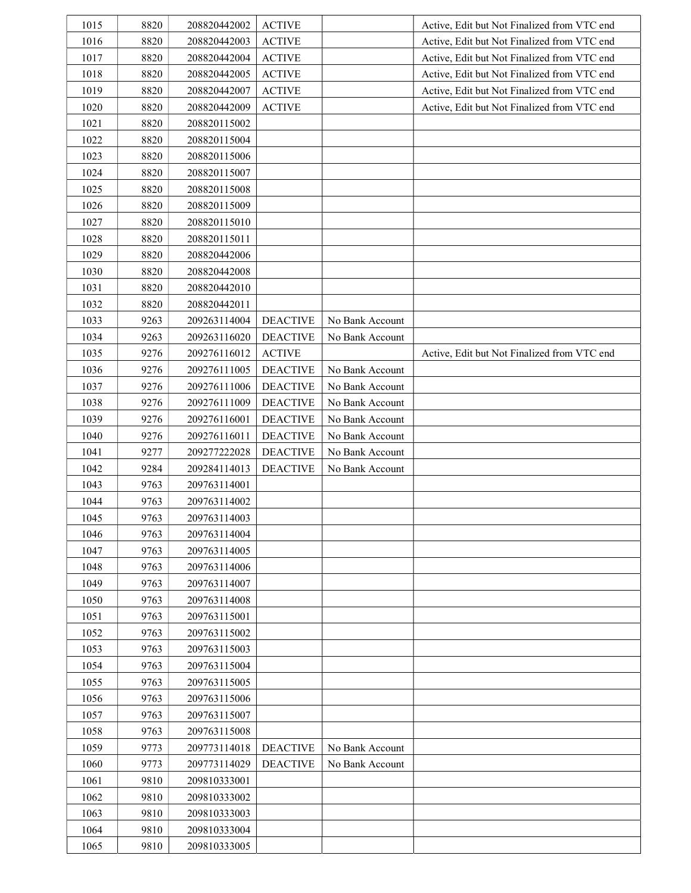| 1015 | 8820 | 208820442002 | <b>ACTIVE</b>   |                 | Active, Edit but Not Finalized from VTC end |
|------|------|--------------|-----------------|-----------------|---------------------------------------------|
| 1016 | 8820 | 208820442003 | <b>ACTIVE</b>   |                 | Active, Edit but Not Finalized from VTC end |
| 1017 | 8820 | 208820442004 | <b>ACTIVE</b>   |                 | Active, Edit but Not Finalized from VTC end |
| 1018 | 8820 | 208820442005 | <b>ACTIVE</b>   |                 | Active, Edit but Not Finalized from VTC end |
| 1019 | 8820 | 208820442007 | <b>ACTIVE</b>   |                 | Active, Edit but Not Finalized from VTC end |
| 1020 | 8820 | 208820442009 | <b>ACTIVE</b>   |                 | Active, Edit but Not Finalized from VTC end |
| 1021 | 8820 | 208820115002 |                 |                 |                                             |
| 1022 | 8820 | 208820115004 |                 |                 |                                             |
| 1023 | 8820 | 208820115006 |                 |                 |                                             |
| 1024 | 8820 | 208820115007 |                 |                 |                                             |
| 1025 | 8820 | 208820115008 |                 |                 |                                             |
| 1026 | 8820 | 208820115009 |                 |                 |                                             |
| 1027 | 8820 | 208820115010 |                 |                 |                                             |
| 1028 | 8820 | 208820115011 |                 |                 |                                             |
| 1029 | 8820 | 208820442006 |                 |                 |                                             |
| 1030 | 8820 | 208820442008 |                 |                 |                                             |
| 1031 | 8820 | 208820442010 |                 |                 |                                             |
| 1032 | 8820 | 208820442011 |                 |                 |                                             |
| 1033 | 9263 | 209263114004 | <b>DEACTIVE</b> | No Bank Account |                                             |
| 1034 | 9263 | 209263116020 | <b>DEACTIVE</b> | No Bank Account |                                             |
| 1035 | 9276 | 209276116012 | <b>ACTIVE</b>   |                 | Active, Edit but Not Finalized from VTC end |
| 1036 | 9276 | 209276111005 | <b>DEACTIVE</b> | No Bank Account |                                             |
| 1037 | 9276 | 209276111006 | <b>DEACTIVE</b> | No Bank Account |                                             |
| 1038 | 9276 | 209276111009 | <b>DEACTIVE</b> | No Bank Account |                                             |
| 1039 | 9276 | 209276116001 | <b>DEACTIVE</b> | No Bank Account |                                             |
| 1040 | 9276 | 209276116011 | <b>DEACTIVE</b> | No Bank Account |                                             |
| 1041 | 9277 | 209277222028 | <b>DEACTIVE</b> | No Bank Account |                                             |
| 1042 | 9284 | 209284114013 | <b>DEACTIVE</b> | No Bank Account |                                             |
| 1043 | 9763 | 209763114001 |                 |                 |                                             |
| 1044 | 9763 | 209763114002 |                 |                 |                                             |
| 1045 | 9763 | 209763114003 |                 |                 |                                             |
| 1046 | 9763 | 209763114004 |                 |                 |                                             |
| 1047 | 9763 | 209763114005 |                 |                 |                                             |
| 1048 | 9763 | 209763114006 |                 |                 |                                             |
| 1049 | 9763 | 209763114007 |                 |                 |                                             |
| 1050 | 9763 | 209763114008 |                 |                 |                                             |
| 1051 | 9763 | 209763115001 |                 |                 |                                             |
| 1052 | 9763 | 209763115002 |                 |                 |                                             |
| 1053 | 9763 | 209763115003 |                 |                 |                                             |
| 1054 | 9763 | 209763115004 |                 |                 |                                             |
| 1055 | 9763 | 209763115005 |                 |                 |                                             |
| 1056 | 9763 | 209763115006 |                 |                 |                                             |
| 1057 | 9763 | 209763115007 |                 |                 |                                             |
| 1058 | 9763 | 209763115008 |                 |                 |                                             |
| 1059 | 9773 | 209773114018 | <b>DEACTIVE</b> | No Bank Account |                                             |
| 1060 | 9773 | 209773114029 | <b>DEACTIVE</b> | No Bank Account |                                             |
| 1061 | 9810 | 209810333001 |                 |                 |                                             |
| 1062 | 9810 | 209810333002 |                 |                 |                                             |
| 1063 | 9810 | 209810333003 |                 |                 |                                             |
| 1064 | 9810 | 209810333004 |                 |                 |                                             |
| 1065 | 9810 | 209810333005 |                 |                 |                                             |